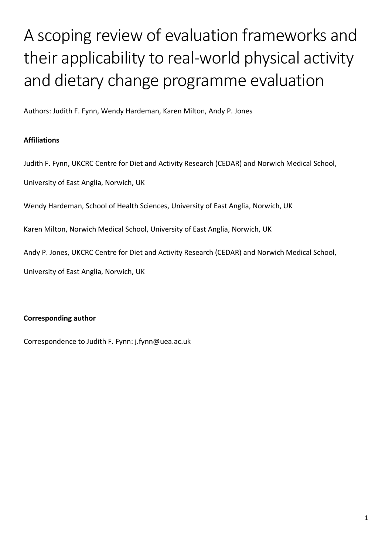# A scoping review of evaluation frameworks and their applicability to real-world physical activity and dietary change programme evaluation

Authors: Judith F. Fynn, Wendy Hardeman, Karen Milton, Andy P. Jones

# **Affiliations**

Judith F. Fynn, UKCRC Centre for Diet and Activity Research (CEDAR) and Norwich Medical School,

University of East Anglia, Norwich, UK

Wendy Hardeman, School of Health Sciences, University of East Anglia, Norwich, UK

Karen Milton, Norwich Medical School, University of East Anglia, Norwich, UK

Andy P. Jones, UKCRC Centre for Diet and Activity Research (CEDAR) and Norwich Medical School,

University of East Anglia, Norwich, UK

# **Corresponding author**

Correspondence to Judith F. Fynn: j.fynn@uea.ac.uk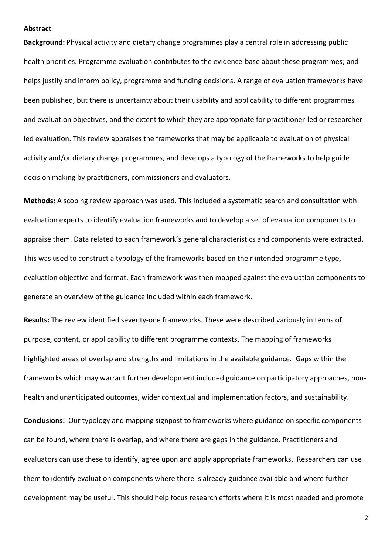#### **Abstract**

**Background:** Physical activity and dietary change programmes play a central role in addressing public health priorities. Programme evaluation contributes to the evidence-base about these programmes; and helps justify and inform policy, programme and funding decisions. A range of evaluation frameworks have been published, but there is uncertainty about their usability and applicability to different programmes and evaluation objectives, and the extent to which they are appropriate for practitioner-led or researcherled evaluation. This review appraises the frameworks that may be applicable to evaluation of physical activity and/or dietary change programmes, and develops a typology of the frameworks to help guide decision making by practitioners, commissioners and evaluators.

**Methods:** A scoping review approach was used. This included a systematic search and consultation with evaluation experts to identify evaluation frameworks and to develop a set of evaluation components to appraise them. Data related to each framework's general characteristics and components were extracted. This was used to construct a typology of the frameworks based on their intended programme type, evaluation objective and format. Each framework was then mapped against the evaluation components to generate an overview of the guidance included within each framework.

**Results:** The review identified seventy-one frameworks. These were described variously in terms of purpose, content, or applicability to different programme contexts. The mapping of frameworks highlighted areas of overlap and strengths and limitations in the available guidance. Gaps within the frameworks which may warrant further development included guidance on participatory approaches, nonhealth and unanticipated outcomes, wider contextual and implementation factors, and sustainability.

**Conclusions:** Our typology and mapping signpost to frameworks where guidance on specific components can be found, where there is overlap, and where there are gaps in the guidance. Practitioners and evaluators can use these to identify, agree upon and apply appropriate frameworks. Researchers can use them to identify evaluation components where there is already guidance available and where further development may be useful. This should help focus research efforts where it is most needed and promote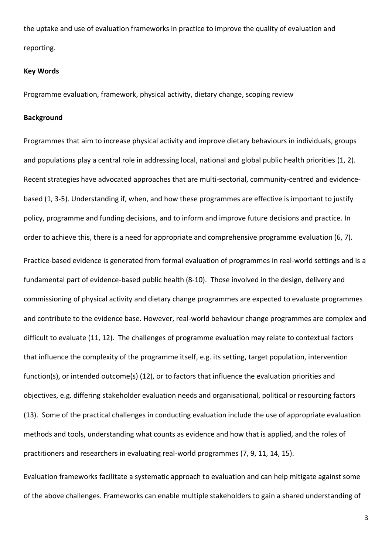the uptake and use of evaluation frameworks in practice to improve the quality of evaluation and reporting.

#### **Key Words**

Programme evaluation, framework, physical activity, dietary change, scoping review

#### **Background**

Programmes that aim to increase physical activity and improve dietary behaviours in individuals, groups and populations play a central role in addressing local, national and global public health priorities (1, 2). Recent strategies have advocated approaches that are multi-sectorial, community-centred and evidencebased (1, 3-5). Understanding if, when, and how these programmes are effective is important to justify policy, programme and funding decisions, and to inform and improve future decisions and practice. In order to achieve this, there is a need for appropriate and comprehensive programme evaluation (6, 7). Practice-based evidence is generated from formal evaluation of programmes in real-world settings and is a fundamental part of evidence-based public health (8-10). Those involved in the design, delivery and commissioning of physical activity and dietary change programmes are expected to evaluate programmes and contribute to the evidence base. However, real-world behaviour change programmes are complex and difficult to evaluate (11, 12). The challenges of programme evaluation may relate to contextual factors that influence the complexity of the programme itself, e.g. its setting, target population, intervention function(s), or intended outcome(s) (12), or to factors that influence the evaluation priorities and objectives, e.g. differing stakeholder evaluation needs and organisational, political or resourcing factors (13). Some of the practical challenges in conducting evaluation include the use of appropriate evaluation methods and tools, understanding what counts as evidence and how that is applied, and the roles of practitioners and researchers in evaluating real-world programmes (7, 9, 11, 14, 15).

Evaluation frameworks facilitate a systematic approach to evaluation and can help mitigate against some of the above challenges. Frameworks can enable multiple stakeholders to gain a shared understanding of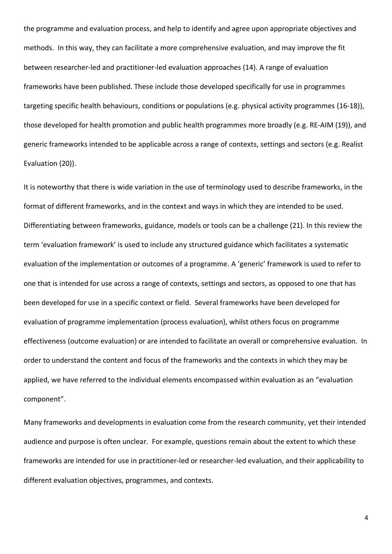the programme and evaluation process, and help to identify and agree upon appropriate objectives and methods. In this way, they can facilitate a more comprehensive evaluation, and may improve the fit between researcher-led and practitioner-led evaluation approaches (14). A range of evaluation frameworks have been published. These include those developed specifically for use in programmes targeting specific health behaviours, conditions or populations (e.g. physical activity programmes (16-18)), those developed for health promotion and public health programmes more broadly (e.g. RE-AIM (19)), and generic frameworks intended to be applicable across a range of contexts, settings and sectors (e.g. Realist Evaluation (20)).

It is noteworthy that there is wide variation in the use of terminology used to describe frameworks, in the format of different frameworks, and in the context and ways in which they are intended to be used. Differentiating between frameworks, guidance, models or tools can be a challenge (21). In this review the term 'evaluation framework' is used to include any structured guidance which facilitates a systematic evaluation of the implementation or outcomes of a programme. A 'generic' framework is used to refer to one that is intended for use across a range of contexts, settings and sectors, as opposed to one that has been developed for use in a specific context or field. Several frameworks have been developed for evaluation of programme implementation (process evaluation), whilst others focus on programme effectiveness (outcome evaluation) or are intended to facilitate an overall or comprehensive evaluation. In order to understand the content and focus of the frameworks and the contexts in which they may be applied, we have referred to the individual elements encompassed within evaluation as an "evaluation component".

Many frameworks and developments in evaluation come from the research community, yet their intended audience and purpose is often unclear. For example, questions remain about the extent to which these frameworks are intended for use in practitioner-led or researcher-led evaluation, and their applicability to different evaluation objectives, programmes, and contexts.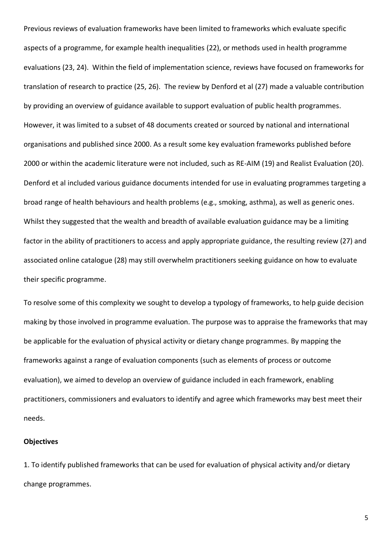Previous reviews of evaluation frameworks have been limited to frameworks which evaluate specific aspects of a programme, for example health inequalities (22), or methods used in health programme evaluations (23, 24). Within the field of implementation science, reviews have focused on frameworks for translation of research to practice (25, 26). The review by Denford et al (27) made a valuable contribution by providing an overview of guidance available to support evaluation of public health programmes. However, it was limited to a subset of 48 documents created or sourced by national and international organisations and published since 2000. As a result some key evaluation frameworks published before 2000 or within the academic literature were not included, such as RE-AIM (19) and Realist Evaluation (20). Denford et al included various guidance documents intended for use in evaluating programmes targeting a broad range of health behaviours and health problems (e.g., smoking, asthma), as well as generic ones. Whilst they suggested that the wealth and breadth of available evaluation guidance may be a limiting factor in the ability of practitioners to access and apply appropriate guidance, the resulting review (27) and associated online catalogue (28) may still overwhelm practitioners seeking guidance on how to evaluate their specific programme.

To resolve some of this complexity we sought to develop a typology of frameworks, to help guide decision making by those involved in programme evaluation. The purpose was to appraise the frameworks that may be applicable for the evaluation of physical activity or dietary change programmes. By mapping the frameworks against a range of evaluation components (such as elements of process or outcome evaluation), we aimed to develop an overview of guidance included in each framework, enabling practitioners, commissioners and evaluators to identify and agree which frameworks may best meet their needs.

#### **Objectives**

1. To identify published frameworks that can be used for evaluation of physical activity and/or dietary change programmes.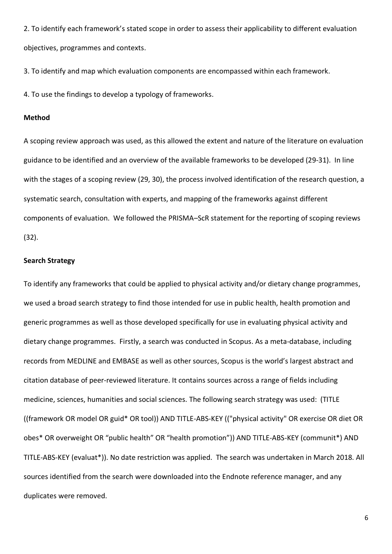2. To identify each framework's stated scope in order to assess their applicability to different evaluation objectives, programmes and contexts.

3. To identify and map which evaluation components are encompassed within each framework.

4. To use the findings to develop a typology of frameworks.

#### **Method**

A scoping review approach was used, as this allowed the extent and nature of the literature on evaluation guidance to be identified and an overview of the available frameworks to be developed (29-31). In line with the stages of a scoping review (29, 30), the process involved identification of the research question, a systematic search, consultation with experts, and mapping of the frameworks against different components of evaluation. We followed the PRISMA–ScR statement for the reporting of scoping reviews (32).

#### **Search Strategy**

To identify any frameworks that could be applied to physical activity and/or dietary change programmes, we used a broad search strategy to find those intended for use in public health, health promotion and generic programmes as well as those developed specifically for use in evaluating physical activity and dietary change programmes. Firstly, a search was conducted in Scopus. As a meta-database, including records from MEDLINE and EMBASE as well as other sources, Scopus is the world's largest abstract and citation database of peer-reviewed literature. It contains sources across a range of fields including medicine, sciences, humanities and social sciences. The following search strategy was used: (TITLE ((framework OR model OR guid\* OR tool)) AND TITLE-ABS-KEY (("physical activity" OR exercise OR diet OR obes\* OR overweight OR "public health" OR "health promotion")) AND TITLE-ABS-KEY (communit\*) AND TITLE-ABS-KEY (evaluat\*)). No date restriction was applied. The search was undertaken in March 2018. All sources identified from the search were downloaded into the Endnote reference manager, and any duplicates were removed.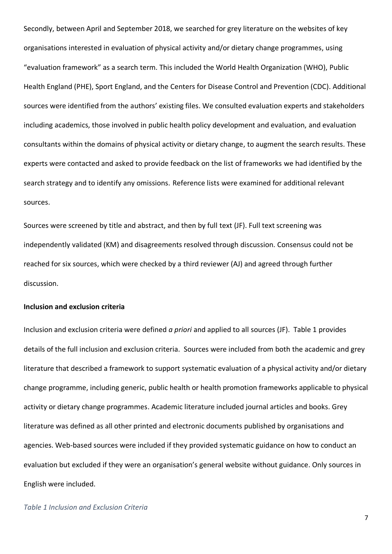Secondly, between April and September 2018, we searched for grey literature on the websites of key organisations interested in evaluation of physical activity and/or dietary change programmes, using "evaluation framework" as a search term. This included the World Health Organization (WHO), Public Health England (PHE), Sport England, and the Centers for Disease Control and Prevention (CDC). Additional sources were identified from the authors' existing files. We consulted evaluation experts and stakeholders including academics, those involved in public health policy development and evaluation, and evaluation consultants within the domains of physical activity or dietary change, to augment the search results. These experts were contacted and asked to provide feedback on the list of frameworks we had identified by the search strategy and to identify any omissions. Reference lists were examined for additional relevant sources.

Sources were screened by title and abstract, and then by full text (JF). Full text screening was independently validated (KM) and disagreements resolved through discussion. Consensus could not be reached for six sources, which were checked by a third reviewer (AJ) and agreed through further discussion.

### **Inclusion and exclusion criteria**

Inclusion and exclusion criteria were defined *a priori* and applied to all sources (JF). Table 1 provides details of the full inclusion and exclusion criteria. Sources were included from both the academic and grey literature that described a framework to support systematic evaluation of a physical activity and/or dietary change programme, including generic, public health or health promotion frameworks applicable to physical activity or dietary change programmes. Academic literature included journal articles and books. Grey literature was defined as all other printed and electronic documents published by organisations and agencies. Web-based sources were included if they provided systematic guidance on how to conduct an evaluation but excluded if they were an organisation's general website without guidance. Only sources in English were included.

#### *Table 1 Inclusion and Exclusion Criteria*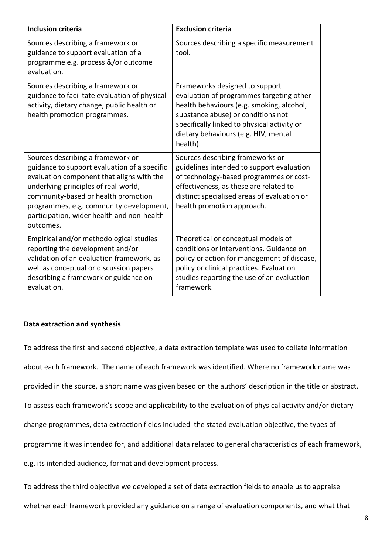| <b>Inclusion criteria</b>                                                                                                                                                                                                                                                                                           | <b>Exclusion criteria</b>                                                                                                                                                                                                                                        |
|---------------------------------------------------------------------------------------------------------------------------------------------------------------------------------------------------------------------------------------------------------------------------------------------------------------------|------------------------------------------------------------------------------------------------------------------------------------------------------------------------------------------------------------------------------------------------------------------|
| Sources describing a framework or<br>guidance to support evaluation of a<br>programme e.g. process &/or outcome<br>evaluation.                                                                                                                                                                                      | Sources describing a specific measurement<br>tool.                                                                                                                                                                                                               |
| Sources describing a framework or<br>guidance to facilitate evaluation of physical<br>activity, dietary change, public health or<br>health promotion programmes.                                                                                                                                                    | Frameworks designed to support<br>evaluation of programmes targeting other<br>health behaviours (e.g. smoking, alcohol,<br>substance abuse) or conditions not<br>specifically linked to physical activity or<br>dietary behaviours (e.g. HIV, mental<br>health). |
| Sources describing a framework or<br>guidance to support evaluation of a specific<br>evaluation component that aligns with the<br>underlying principles of real-world,<br>community-based or health promotion<br>programmes, e.g. community development,<br>participation, wider health and non-health<br>outcomes. | Sources describing frameworks or<br>guidelines intended to support evaluation<br>of technology-based programmes or cost-<br>effectiveness, as these are related to<br>distinct specialised areas of evaluation or<br>health promotion approach.                  |
| Empirical and/or methodological studies<br>reporting the development and/or<br>validation of an evaluation framework, as<br>well as conceptual or discussion papers<br>describing a framework or guidance on<br>evaluation.                                                                                         | Theoretical or conceptual models of<br>conditions or interventions. Guidance on<br>policy or action for management of disease,<br>policy or clinical practices. Evaluation<br>studies reporting the use of an evaluation<br>framework.                           |

# **Data extraction and synthesis**

To address the first and second objective, a data extraction template was used to collate information about each framework. The name of each framework was identified. Where no framework name was provided in the source, a short name was given based on the authors' description in the title or abstract. To assess each framework's scope and applicability to the evaluation of physical activity and/or dietary change programmes, data extraction fields included the stated evaluation objective, the types of programme it was intended for, and additional data related to general characteristics of each framework, e.g. its intended audience, format and development process.

To address the third objective we developed a set of data extraction fields to enable us to appraise whether each framework provided any guidance on a range of evaluation components, and what that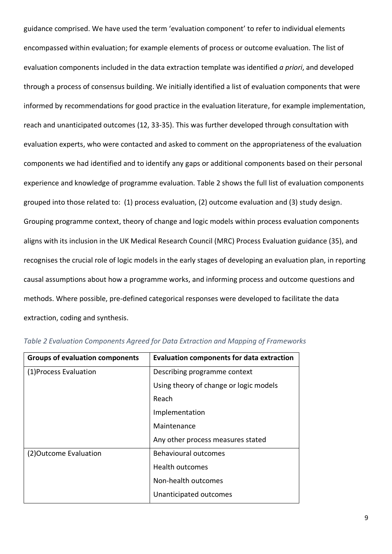guidance comprised. We have used the term 'evaluation component' to refer to individual elements encompassed within evaluation; for example elements of process or outcome evaluation. The list of evaluation components included in the data extraction template was identified *a priori*, and developed through a process of consensus building. We initially identified a list of evaluation components that were informed by recommendations for good practice in the evaluation literature, for example implementation, reach and unanticipated outcomes (12, 33-35). This was further developed through consultation with evaluation experts, who were contacted and asked to comment on the appropriateness of the evaluation components we had identified and to identify any gaps or additional components based on their personal experience and knowledge of programme evaluation. Table 2 shows the full list of evaluation components grouped into those related to: (1) process evaluation, (2) outcome evaluation and (3) study design. Grouping programme context, theory of change and logic models within process evaluation components aligns with its inclusion in the UK Medical Research Council (MRC) Process Evaluation guidance (35), and recognises the crucial role of logic models in the early stages of developing an evaluation plan, in reporting causal assumptions about how a programme works, and informing process and outcome questions and methods. Where possible, pre-defined categorical responses were developed to facilitate the data extraction, coding and synthesis.

| <b>Groups of evaluation components</b> | <b>Evaluation components for data extraction</b> |
|----------------------------------------|--------------------------------------------------|
| (1) Process Evaluation                 | Describing programme context                     |
|                                        | Using theory of change or logic models           |
|                                        | Reach                                            |
|                                        | Implementation                                   |
|                                        | Maintenance                                      |
|                                        | Any other process measures stated                |
| (2) Outcome Evaluation                 | <b>Behavioural outcomes</b>                      |
|                                        | Health outcomes                                  |
|                                        | Non-health outcomes                              |
|                                        | Unanticipated outcomes                           |

| Table 2 Evaluation Components Agreed for Data Extraction and Mapping of Frameworks |  |  |  |  |  |
|------------------------------------------------------------------------------------|--|--|--|--|--|
|------------------------------------------------------------------------------------|--|--|--|--|--|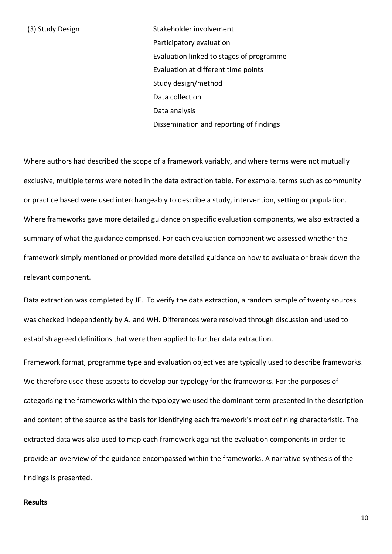| (3) Study Design | Stakeholder involvement                  |
|------------------|------------------------------------------|
|                  | Participatory evaluation                 |
|                  | Evaluation linked to stages of programme |
|                  | Evaluation at different time points      |
|                  | Study design/method                      |
|                  | Data collection                          |
|                  | Data analysis                            |
|                  | Dissemination and reporting of findings  |

Where authors had described the scope of a framework variably, and where terms were not mutually exclusive, multiple terms were noted in the data extraction table. For example, terms such as community or practice based were used interchangeably to describe a study, intervention, setting or population. Where frameworks gave more detailed guidance on specific evaluation components, we also extracted a summary of what the guidance comprised. For each evaluation component we assessed whether the framework simply mentioned or provided more detailed guidance on how to evaluate or break down the relevant component.

Data extraction was completed by JF. To verify the data extraction, a random sample of twenty sources was checked independently by AJ and WH. Differences were resolved through discussion and used to establish agreed definitions that were then applied to further data extraction.

Framework format, programme type and evaluation objectives are typically used to describe frameworks. We therefore used these aspects to develop our typology for the frameworks. For the purposes of categorising the frameworks within the typology we used the dominant term presented in the description and content of the source as the basis for identifying each framework's most defining characteristic. The extracted data was also used to map each framework against the evaluation components in order to provide an overview of the guidance encompassed within the frameworks. A narrative synthesis of the findings is presented.

## **Results**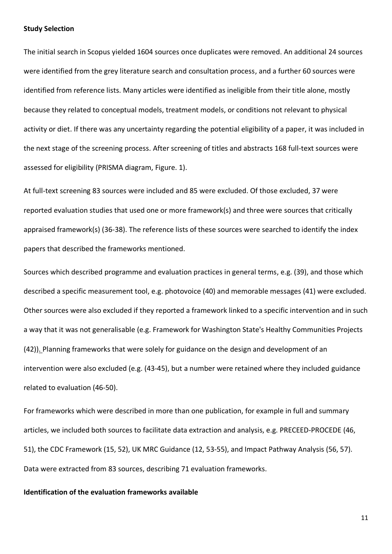#### **Study Selection**

The initial search in Scopus yielded 1604 sources once duplicates were removed. An additional 24 sources were identified from the grey literature search and consultation process, and a further 60 sources were identified from reference lists. Many articles were identified as ineligible from their title alone, mostly because they related to conceptual models, treatment models, or conditions not relevant to physical activity or diet. If there was any uncertainty regarding the potential eligibility of a paper, it was included in the next stage of the screening process. After screening of titles and abstracts 168 full-text sources were assessed for eligibility (PRISMA diagram, Figure. 1).

At full-text screening 83 sources were included and 85 were excluded. Of those excluded, 37 were reported evaluation studies that used one or more framework(s) and three were sources that critically appraised framework(s) (36-38). The reference lists of these sources were searched to identify the index papers that described the frameworks mentioned.

Sources which described programme and evaluation practices in general terms, e.g. (39), and those which described a specific measurement tool, e.g. photovoice (40) and memorable messages (41) were excluded. Other sources were also excluded if they reported a framework linked to a specific intervention and in such a way that it was not generalisable (e.g. Framework for Washington State's Healthy Communities Projects (42)). Planning frameworks that were solely for guidance on the design and development of an intervention were also excluded (e.g. (43-45), but a number were retained where they included guidance related to evaluation (46-50).

For frameworks which were described in more than one publication, for example in full and summary articles, we included both sources to facilitate data extraction and analysis, e.g. PRECEED-PROCEDE (46, 51), the CDC Framework (15, 52), UK MRC Guidance (12, 53-55), and Impact Pathway Analysis (56, 57). Data were extracted from 83 sources, describing 71 evaluation frameworks.

#### **Identification of the evaluation frameworks available**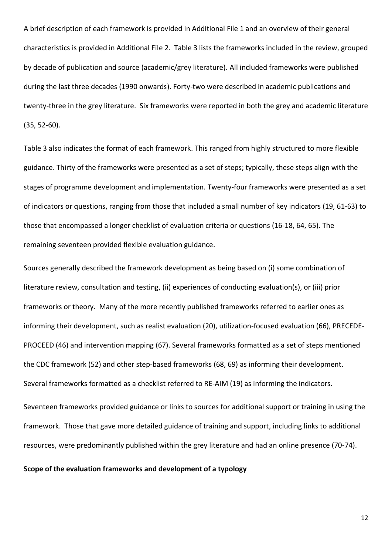A brief description of each framework is provided in Additional File 1 and an overview of their general characteristics is provided in Additional File 2. Table 3 lists the frameworks included in the review, grouped by decade of publication and source (academic/grey literature). All included frameworks were published during the last three decades (1990 onwards). Forty-two were described in academic publications and twenty-three in the grey literature. Six frameworks were reported in both the grey and academic literature (35, 52-60).

Table 3 also indicates the format of each framework. This ranged from highly structured to more flexible guidance. Thirty of the frameworks were presented as a set of steps; typically, these steps align with the stages of programme development and implementation. Twenty-four frameworks were presented as a set of indicators or questions, ranging from those that included a small number of key indicators (19, 61-63) to those that encompassed a longer checklist of evaluation criteria or questions (16-18, 64, 65). The remaining seventeen provided flexible evaluation guidance.

Sources generally described the framework development as being based on (i) some combination of literature review, consultation and testing, (ii) experiences of conducting evaluation(s), or (iii) prior frameworks or theory. Many of the more recently published frameworks referred to earlier ones as informing their development, such as realist evaluation (20), utilization-focused evaluation (66), PRECEDE-PROCEED (46) and intervention mapping (67). Several frameworks formatted as a set of steps mentioned the CDC framework (52) and other step-based frameworks (68, 69) as informing their development. Several frameworks formatted as a checklist referred to RE-AIM (19) as informing the indicators.

Seventeen frameworks provided guidance or links to sources for additional support or training in using the framework. Those that gave more detailed guidance of training and support, including links to additional resources, were predominantly published within the grey literature and had an online presence (70-74).

### **Scope of the evaluation frameworks and development of a typology**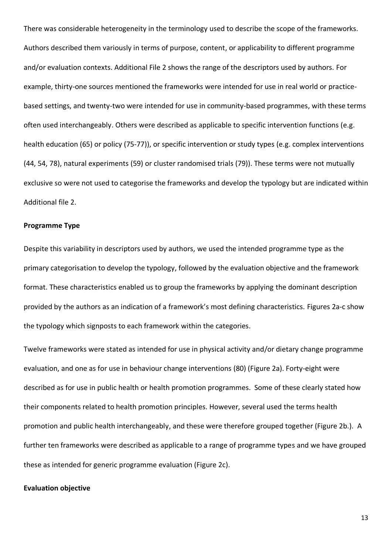There was considerable heterogeneity in the terminology used to describe the scope of the frameworks. Authors described them variously in terms of purpose, content, or applicability to different programme and/or evaluation contexts. Additional File 2 shows the range of the descriptors used by authors. For example, thirty-one sources mentioned the frameworks were intended for use in real world or practicebased settings, and twenty-two were intended for use in community-based programmes, with these terms often used interchangeably. Others were described as applicable to specific intervention functions (e.g. health education (65) or policy (75-77)), or specific intervention or study types (e.g. complex interventions (44, 54, 78), natural experiments (59) or cluster randomised trials (79)). These terms were not mutually exclusive so were not used to categorise the frameworks and develop the typology but are indicated within Additional file 2.

#### **Programme Type**

Despite this variability in descriptors used by authors, we used the intended programme type as the primary categorisation to develop the typology, followed by the evaluation objective and the framework format. These characteristics enabled us to group the frameworks by applying the dominant description provided by the authors as an indication of a framework's most defining characteristics. Figures 2a-c show the typology which signposts to each framework within the categories.

Twelve frameworks were stated as intended for use in physical activity and/or dietary change programme evaluation, and one as for use in behaviour change interventions (80) (Figure 2a). Forty-eight were described as for use in public health or health promotion programmes. Some of these clearly stated how their components related to health promotion principles. However, several used the terms health promotion and public health interchangeably, and these were therefore grouped together (Figure 2b.). A further ten frameworks were described as applicable to a range of programme types and we have grouped these as intended for generic programme evaluation (Figure 2c).

#### **Evaluation objective**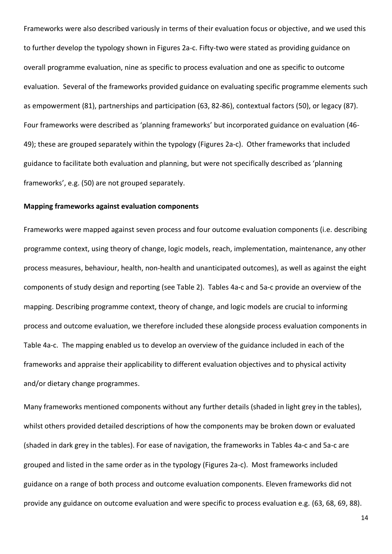Frameworks were also described variously in terms of their evaluation focus or objective, and we used this to further develop the typology shown in Figures 2a-c. Fifty-two were stated as providing guidance on overall programme evaluation, nine as specific to process evaluation and one as specific to outcome evaluation. Several of the frameworks provided guidance on evaluating specific programme elements such as empowerment (81), partnerships and participation (63, 82-86), contextual factors (50), or legacy (87). Four frameworks were described as 'planning frameworks' but incorporated guidance on evaluation (46- 49); these are grouped separately within the typology (Figures 2a-c). Other frameworks that included guidance to facilitate both evaluation and planning, but were not specifically described as 'planning frameworks', e.g. (50) are not grouped separately.

#### **Mapping frameworks against evaluation components**

Frameworks were mapped against seven process and four outcome evaluation components (i.e. describing programme context, using theory of change, logic models, reach, implementation, maintenance, any other process measures, behaviour, health, non-health and unanticipated outcomes), as well as against the eight components of study design and reporting (see Table 2). Tables 4a-c and 5a-c provide an overview of the mapping. Describing programme context, theory of change, and logic models are crucial to informing process and outcome evaluation, we therefore included these alongside process evaluation components in Table 4a-c. The mapping enabled us to develop an overview of the guidance included in each of the frameworks and appraise their applicability to different evaluation objectives and to physical activity and/or dietary change programmes.

Many frameworks mentioned components without any further details (shaded in light grey in the tables), whilst others provided detailed descriptions of how the components may be broken down or evaluated (shaded in dark grey in the tables). For ease of navigation, the frameworks in Tables 4a-c and 5a-c are grouped and listed in the same order as in the typology (Figures 2a-c). Most frameworks included guidance on a range of both process and outcome evaluation components. Eleven frameworks did not provide any guidance on outcome evaluation and were specific to process evaluation e.g. (63, 68, 69, 88).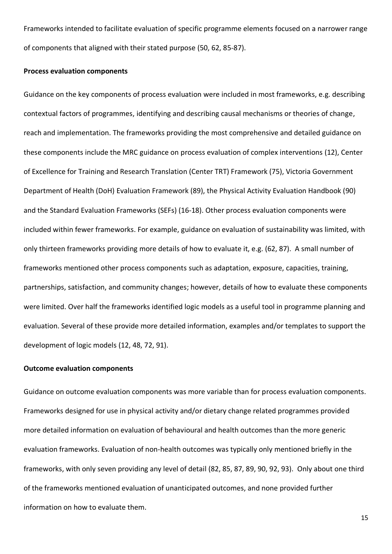Frameworks intended to facilitate evaluation of specific programme elements focused on a narrower range of components that aligned with their stated purpose (50, 62, 85-87).

## **Process evaluation components**

Guidance on the key components of process evaluation were included in most frameworks, e.g. describing contextual factors of programmes, identifying and describing causal mechanisms or theories of change, reach and implementation. The frameworks providing the most comprehensive and detailed guidance on these components include the MRC guidance on process evaluation of complex interventions (12), Center of Excellence for Training and Research Translation (Center TRT) Framework (75), Victoria Government Department of Health (DoH) Evaluation Framework (89), the Physical Activity Evaluation Handbook (90) and the Standard Evaluation Frameworks (SEFs) (16-18). Other process evaluation components were included within fewer frameworks. For example, guidance on evaluation of sustainability was limited, with only thirteen frameworks providing more details of how to evaluate it, e.g. (62, 87). A small number of frameworks mentioned other process components such as adaptation, exposure, capacities, training, partnerships, satisfaction, and community changes; however, details of how to evaluate these components were limited. Over half the frameworks identified logic models as a useful tool in programme planning and evaluation. Several of these provide more detailed information, examples and/or templates to support the development of logic models (12, 48, 72, 91).

#### **Outcome evaluation components**

Guidance on outcome evaluation components was more variable than for process evaluation components. Frameworks designed for use in physical activity and/or dietary change related programmes provided more detailed information on evaluation of behavioural and health outcomes than the more generic evaluation frameworks. Evaluation of non-health outcomes was typically only mentioned briefly in the frameworks, with only seven providing any level of detail (82, 85, 87, 89, 90, 92, 93). Only about one third of the frameworks mentioned evaluation of unanticipated outcomes, and none provided further information on how to evaluate them.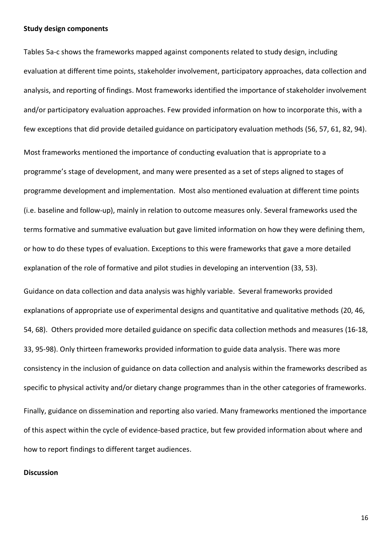#### **Study design components**

Tables 5a-c shows the frameworks mapped against components related to study design, including evaluation at different time points, stakeholder involvement, participatory approaches, data collection and analysis, and reporting of findings. Most frameworks identified the importance of stakeholder involvement and/or participatory evaluation approaches. Few provided information on how to incorporate this, with a few exceptions that did provide detailed guidance on participatory evaluation methods (56, 57, 61, 82, 94). Most frameworks mentioned the importance of conducting evaluation that is appropriate to a programme's stage of development, and many were presented as a set of steps aligned to stages of programme development and implementation. Most also mentioned evaluation at different time points (i.e. baseline and follow-up), mainly in relation to outcome measures only. Several frameworks used the terms formative and summative evaluation but gave limited information on how they were defining them, or how to do these types of evaluation. Exceptions to this were frameworks that gave a more detailed explanation of the role of formative and pilot studies in developing an intervention (33, 53).

Guidance on data collection and data analysis was highly variable. Several frameworks provided explanations of appropriate use of experimental designs and quantitative and qualitative methods (20, 46, 54, 68). Others provided more detailed guidance on specific data collection methods and measures (16-18, 33, 95-98). Only thirteen frameworks provided information to guide data analysis. There was more consistency in the inclusion of guidance on data collection and analysis within the frameworks described as specific to physical activity and/or dietary change programmes than in the other categories of frameworks. Finally, guidance on dissemination and reporting also varied. Many frameworks mentioned the importance of this aspect within the cycle of evidence-based practice, but few provided information about where and how to report findings to different target audiences.

#### **Discussion**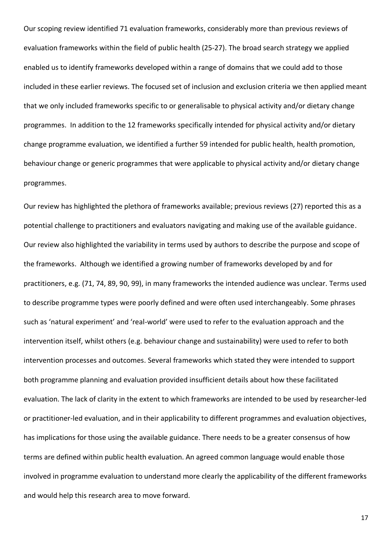Our scoping review identified 71 evaluation frameworks, considerably more than previous reviews of evaluation frameworks within the field of public health (25-27). The broad search strategy we applied enabled us to identify frameworks developed within a range of domains that we could add to those included in these earlier reviews. The focused set of inclusion and exclusion criteria we then applied meant that we only included frameworks specific to or generalisable to physical activity and/or dietary change programmes. In addition to the 12 frameworks specifically intended for physical activity and/or dietary change programme evaluation, we identified a further 59 intended for public health, health promotion, behaviour change or generic programmes that were applicable to physical activity and/or dietary change programmes.

Our review has highlighted the plethora of frameworks available; previous reviews (27) reported this as a potential challenge to practitioners and evaluators navigating and making use of the available guidance. Our review also highlighted the variability in terms used by authors to describe the purpose and scope of the frameworks. Although we identified a growing number of frameworks developed by and for practitioners, e.g. (71, 74, 89, 90, 99), in many frameworks the intended audience was unclear. Terms used to describe programme types were poorly defined and were often used interchangeably. Some phrases such as 'natural experiment' and 'real-world' were used to refer to the evaluation approach and the intervention itself, whilst others (e.g. behaviour change and sustainability) were used to refer to both intervention processes and outcomes. Several frameworks which stated they were intended to support both programme planning and evaluation provided insufficient details about how these facilitated evaluation. The lack of clarity in the extent to which frameworks are intended to be used by researcher-led or practitioner-led evaluation, and in their applicability to different programmes and evaluation objectives, has implications for those using the available guidance. There needs to be a greater consensus of how terms are defined within public health evaluation. An agreed common language would enable those involved in programme evaluation to understand more clearly the applicability of the different frameworks and would help this research area to move forward.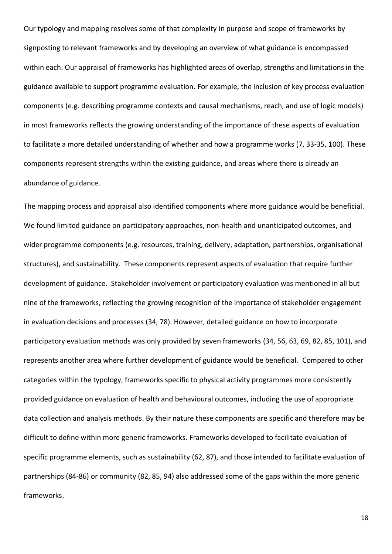Our typology and mapping resolves some of that complexity in purpose and scope of frameworks by signposting to relevant frameworks and by developing an overview of what guidance is encompassed within each. Our appraisal of frameworks has highlighted areas of overlap, strengths and limitations in the guidance available to support programme evaluation. For example, the inclusion of key process evaluation components (e.g. describing programme contexts and causal mechanisms, reach, and use of logic models) in most frameworks reflects the growing understanding of the importance of these aspects of evaluation to facilitate a more detailed understanding of whether and how a programme works (7, 33-35, 100). These components represent strengths within the existing guidance, and areas where there is already an abundance of guidance.

The mapping process and appraisal also identified components where more guidance would be beneficial. We found limited guidance on participatory approaches, non-health and unanticipated outcomes, and wider programme components (e.g. resources, training, delivery, adaptation, partnerships, organisational structures), and sustainability. These components represent aspects of evaluation that require further development of guidance. Stakeholder involvement or participatory evaluation was mentioned in all but nine of the frameworks, reflecting the growing recognition of the importance of stakeholder engagement in evaluation decisions and processes (34, 78). However, detailed guidance on how to incorporate participatory evaluation methods was only provided by seven frameworks (34, 56, 63, 69, 82, 85, 101), and represents another area where further development of guidance would be beneficial. Compared to other categories within the typology, frameworks specific to physical activity programmes more consistently provided guidance on evaluation of health and behavioural outcomes, including the use of appropriate data collection and analysis methods. By their nature these components are specific and therefore may be difficult to define within more generic frameworks. Frameworks developed to facilitate evaluation of specific programme elements, such as sustainability (62, 87), and those intended to facilitate evaluation of partnerships (84-86) or community (82, 85, 94) also addressed some of the gaps within the more generic frameworks.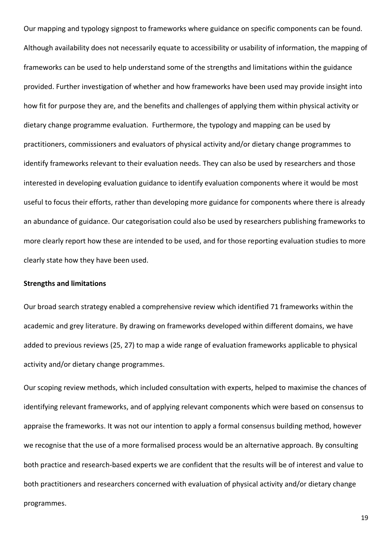Our mapping and typology signpost to frameworks where guidance on specific components can be found. Although availability does not necessarily equate to accessibility or usability of information, the mapping of frameworks can be used to help understand some of the strengths and limitations within the guidance provided. Further investigation of whether and how frameworks have been used may provide insight into how fit for purpose they are, and the benefits and challenges of applying them within physical activity or dietary change programme evaluation. Furthermore, the typology and mapping can be used by practitioners, commissioners and evaluators of physical activity and/or dietary change programmes to identify frameworks relevant to their evaluation needs. They can also be used by researchers and those interested in developing evaluation guidance to identify evaluation components where it would be most useful to focus their efforts, rather than developing more guidance for components where there is already an abundance of guidance. Our categorisation could also be used by researchers publishing frameworks to more clearly report how these are intended to be used, and for those reporting evaluation studies to more clearly state how they have been used.

#### **Strengths and limitations**

Our broad search strategy enabled a comprehensive review which identified 71 frameworks within the academic and grey literature. By drawing on frameworks developed within different domains, we have added to previous reviews (25, 27) to map a wide range of evaluation frameworks applicable to physical activity and/or dietary change programmes.

Our scoping review methods, which included consultation with experts, helped to maximise the chances of identifying relevant frameworks, and of applying relevant components which were based on consensus to appraise the frameworks. It was not our intention to apply a formal consensus building method, however we recognise that the use of a more formalised process would be an alternative approach. By consulting both practice and research-based experts we are confident that the results will be of interest and value to both practitioners and researchers concerned with evaluation of physical activity and/or dietary change programmes.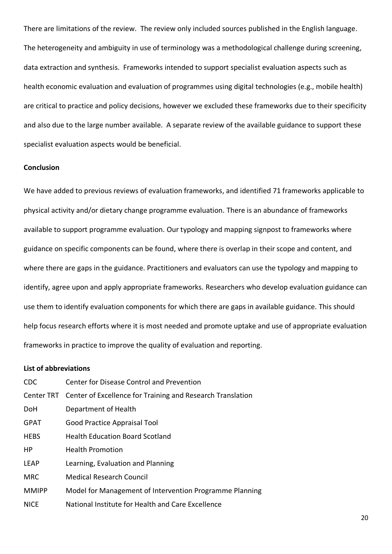There are limitations of the review. The review only included sources published in the English language. The heterogeneity and ambiguity in use of terminology was a methodological challenge during screening, data extraction and synthesis. Frameworks intended to support specialist evaluation aspects such as health economic evaluation and evaluation of programmes using digital technologies (e.g., mobile health) are critical to practice and policy decisions, however we excluded these frameworks due to their specificity and also due to the large number available. A separate review of the available guidance to support these specialist evaluation aspects would be beneficial.

## **Conclusion**

We have added to previous reviews of evaluation frameworks, and identified 71 frameworks applicable to physical activity and/or dietary change programme evaluation. There is an abundance of frameworks available to support programme evaluation. Our typology and mapping signpost to frameworks where guidance on specific components can be found, where there is overlap in their scope and content, and where there are gaps in the guidance. Practitioners and evaluators can use the typology and mapping to identify, agree upon and apply appropriate frameworks. Researchers who develop evaluation guidance can use them to identify evaluation components for which there are gaps in available guidance. This should help focus research efforts where it is most needed and promote uptake and use of appropriate evaluation frameworks in practice to improve the quality of evaluation and reporting.

## **List of abbreviations**

| CDC.         | <b>Center for Disease Control and Prevention</b>                      |
|--------------|-----------------------------------------------------------------------|
|              | Center TRT Center of Excellence for Training and Research Translation |
| <b>DoH</b>   | Department of Health                                                  |
| <b>GPAT</b>  | Good Practice Appraisal Tool                                          |
| <b>HEBS</b>  | <b>Health Education Board Scotland</b>                                |
| HP           | <b>Health Promotion</b>                                               |
| <b>LEAP</b>  | Learning, Evaluation and Planning                                     |
| <b>MRC</b>   | <b>Medical Research Council</b>                                       |
| <b>MMIPP</b> | Model for Management of Intervention Programme Planning               |
| <b>NICE</b>  | National Institute for Health and Care Excellence                     |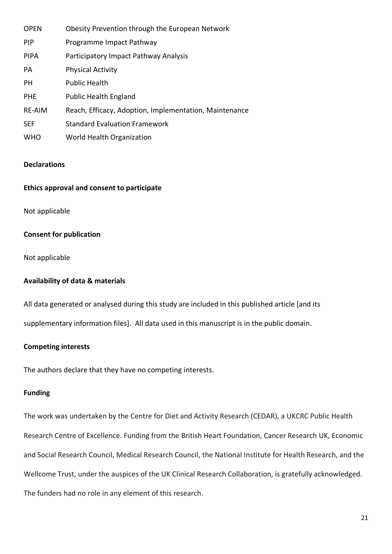| <b>OPEN</b>   | Obesity Prevention through the European Network        |
|---------------|--------------------------------------------------------|
| <b>PIP</b>    | Programme Impact Pathway                               |
| <b>PIPA</b>   | Participatory Impact Pathway Analysis                  |
| PA            | <b>Physical Activity</b>                               |
| <b>PH</b>     | <b>Public Health</b>                                   |
| <b>PHE</b>    | <b>Public Health England</b>                           |
| <b>RE-AIM</b> | Reach, Efficacy, Adoption, Implementation, Maintenance |
| <b>SEF</b>    | <b>Standard Evaluation Framework</b>                   |
| <b>WHO</b>    | World Health Organization                              |

## **Declarations**

## **Ethics approval and consent to participate**

Not applicable

## **Consent for publication**

Not applicable

## **Availability of data & materials**

All data generated or analysed during this study are included in this published article [and its

supplementary information files]. All data used in this manuscript is in the public domain.

#### **Competing interests**

The authors declare that they have no competing interests.

## **Funding**

The work was undertaken by the Centre for Diet and Activity Research (CEDAR), a UKCRC Public Health Research Centre of Excellence. Funding from the British Heart Foundation, Cancer Research UK, Economic and Social Research Council, Medical Research Council, the National Institute for Health Research, and the Wellcome Trust, under the auspices of the UK Clinical Research Collaboration, is gratefully acknowledged. The funders had no role in any element of this research.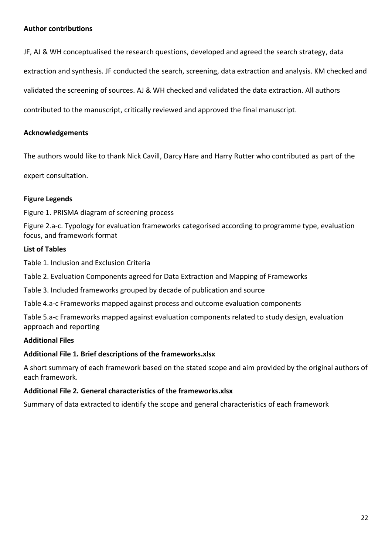## **Author contributions**

JF, AJ & WH conceptualised the research questions, developed and agreed the search strategy, data

extraction and synthesis. JF conducted the search, screening, data extraction and analysis. KM checked and

validated the screening of sources. AJ & WH checked and validated the data extraction. All authors

contributed to the manuscript, critically reviewed and approved the final manuscript.

# **Acknowledgements**

The authors would like to thank Nick Cavill, Darcy Hare and Harry Rutter who contributed as part of the

expert consultation.

# **Figure Legends**

Figure 1. PRISMA diagram of screening process

Figure 2.a-c. Typology for evaluation frameworks categorised according to programme type, evaluation focus, and framework format

## **List of Tables**

Table 1. Inclusion and Exclusion Criteria

Table 2. Evaluation Components agreed for Data Extraction and Mapping of Frameworks

Table 3. Included frameworks grouped by decade of publication and source

Table 4.a-c Frameworks mapped against process and outcome evaluation components

Table 5.a-c Frameworks mapped against evaluation components related to study design, evaluation approach and reporting

## **Additional Files**

## **Additional File 1. Brief descriptions of the frameworks.xlsx**

A short summary of each framework based on the stated scope and aim provided by the original authors of each framework.

## **Additional File 2. General characteristics of the frameworks.xlsx**

Summary of data extracted to identify the scope and general characteristics of each framework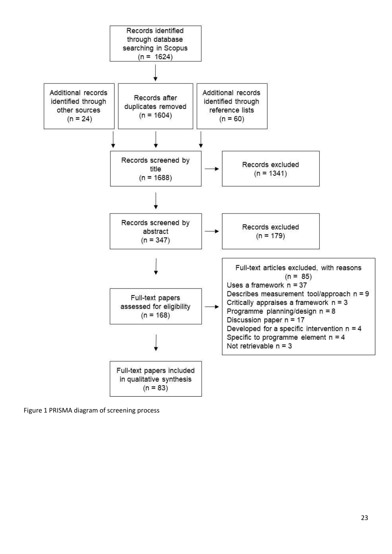

Figure 1 PRISMA diagram of screening process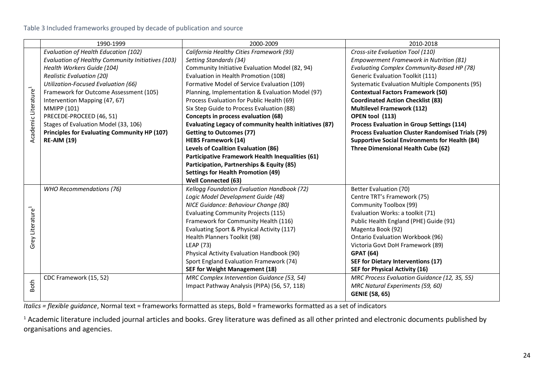|                                  | 1990-1999                                         | 2000-2009                                              | 2010-2018                                                |  |  |  |  |  |  |
|----------------------------------|---------------------------------------------------|--------------------------------------------------------|----------------------------------------------------------|--|--|--|--|--|--|
|                                  | Evaluation of Health Education (102)              | California Healthy Cities Framework (93)               | Cross-site Evaluation Tool (110)                         |  |  |  |  |  |  |
|                                  | Evaluation of Healthy Community Initiatives (103) | Setting Standards (34)                                 | Empowerment Framework in Nutrition (81)                  |  |  |  |  |  |  |
|                                  | Health Workers Guide (104)                        | Community Initiative Evaluation Model (82, 94)         | Evaluating Complex Community-Based HP (78)               |  |  |  |  |  |  |
|                                  | <b>Realistic Evaluation (20)</b>                  | Evaluation in Health Promotion (108)                   | <b>Generic Evaluation Toolkit (111)</b>                  |  |  |  |  |  |  |
|                                  | Utilization-Focused Evaluation (66)               | Formative Model of Service Evaluation (109)            | Systematic Evaluation Multiple Components (95)           |  |  |  |  |  |  |
|                                  | Framework for Outcome Assessment (105)            | Planning, Implementation & Evaluation Model (97)       | <b>Contextual Factors Framework (50)</b>                 |  |  |  |  |  |  |
| Academic Literature <sup>1</sup> | Intervention Mapping (47, 67)                     | Process Evaluation for Public Health (69)              | <b>Coordinated Action Checklist (83)</b>                 |  |  |  |  |  |  |
|                                  | <b>MMIPP (101)</b>                                | Six Step Guide to Process Evaluation (88)              | <b>Multilevel Framework (112)</b>                        |  |  |  |  |  |  |
|                                  | PRECEDE-PROCEED (46, 51)                          | Concepts in process evaluation (68)                    | OPEN tool (113)                                          |  |  |  |  |  |  |
|                                  | Stages of Evaluation Model (33, 106)              | Evaluating Legacy of community health initiatives (87) | <b>Process Evaluation in Group Settings (114)</b>        |  |  |  |  |  |  |
|                                  | Principles for Evaluating Community HP (107)      | <b>Getting to Outcomes (77)</b>                        | <b>Process Evaluation Cluster Randomised Trials (79)</b> |  |  |  |  |  |  |
|                                  | <b>RE-AIM (19)</b>                                | <b>HEBS Framework (14)</b>                             | <b>Supportive Social Environments for Health (84)</b>    |  |  |  |  |  |  |
|                                  |                                                   | <b>Levels of Coalition Evaluation (86)</b>             | Three Dimensional Health Cube (62)                       |  |  |  |  |  |  |
|                                  |                                                   | Participative Framework Health Inequalities (61)       |                                                          |  |  |  |  |  |  |
|                                  |                                                   | Participation, Partnerships & Equity (85)              |                                                          |  |  |  |  |  |  |
|                                  |                                                   | <b>Settings for Health Promotion (49)</b>              |                                                          |  |  |  |  |  |  |
|                                  |                                                   | Well Connected (63)                                    |                                                          |  |  |  |  |  |  |
|                                  | WHO Recommendations (76)                          | Kellogg Foundation Evaluation Handbook (72)            | Better Evaluation (70)                                   |  |  |  |  |  |  |
|                                  |                                                   | Logic Model Development Guide (48)                     | Centre TRT's Framework (75)                              |  |  |  |  |  |  |
|                                  |                                                   | NICE Guidance: Behaviour Change (80)                   | Community Toolbox (99)                                   |  |  |  |  |  |  |
|                                  |                                                   | <b>Evaluating Community Projects (115)</b>             | Evaluation Works: a toolkit (71)                         |  |  |  |  |  |  |
| Grey Literature <sup>1</sup>     |                                                   | Framework for Community Health (116)                   | Public Health England (PHE) Guide (91)                   |  |  |  |  |  |  |
|                                  |                                                   | Evaluating Sport & Physical Activity (117)             | Magenta Book (92)                                        |  |  |  |  |  |  |
|                                  |                                                   | Health Planners Toolkit (98)                           | <b>Ontario Evaluation Workbook (96)</b>                  |  |  |  |  |  |  |
|                                  |                                                   | LEAP (73)                                              | Victoria Govt DoH Framework (89)                         |  |  |  |  |  |  |
|                                  |                                                   | Physical Activity Evaluation Handbook (90)             | <b>GPAT (64)</b>                                         |  |  |  |  |  |  |
|                                  |                                                   | Sport England Evaluation Framework (74)                | SEF for Dietary Interventions (17)                       |  |  |  |  |  |  |
|                                  |                                                   | <b>SEF for Weight Management (18)</b>                  | SEF for Physical Activity (16)                           |  |  |  |  |  |  |
|                                  | CDC Framework (15, 52)                            | MRC Complex Intervention Guidance (53, 54)             | MRC Process Evaluation Guidance (12, 35, 55)             |  |  |  |  |  |  |
| <b>Both</b>                      |                                                   | Impact Pathway Analysis (PIPA) (56, 57, 118)           | MRC Natural Experiments (59, 60)                         |  |  |  |  |  |  |
|                                  |                                                   |                                                        | <b>GENIE (58, 65)</b>                                    |  |  |  |  |  |  |

*Italics = flexible guidance*, Normal text = frameworks formatted as steps, Bold = frameworks formatted as a set of indicators

<sup>1</sup> Academic literature included journal articles and books. Grey literature was defined as all other printed and electronic documents published by organisations and agencies.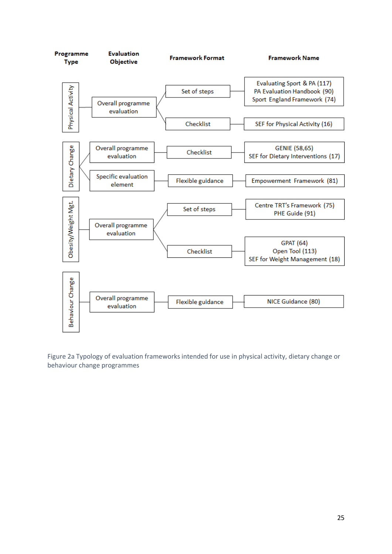

Figure 2a Typology of evaluation frameworks intended for use in physical activity, dietary change or behaviour change programmes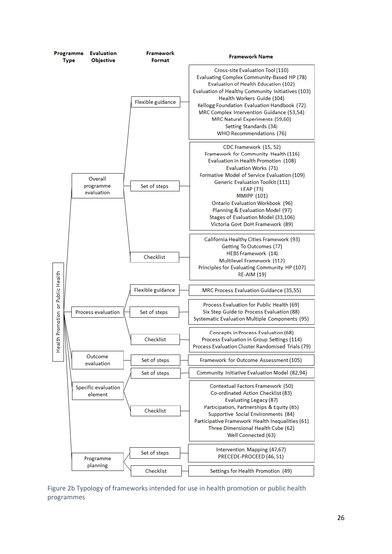

Figure 2b Typology of frameworks intended for use in health promotion or public health programmes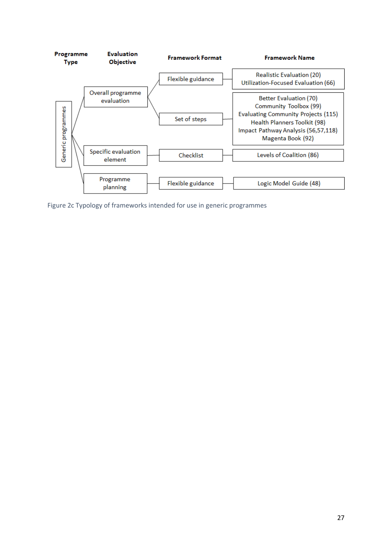

Figure 2c Typology of frameworks intended for use in generic programmes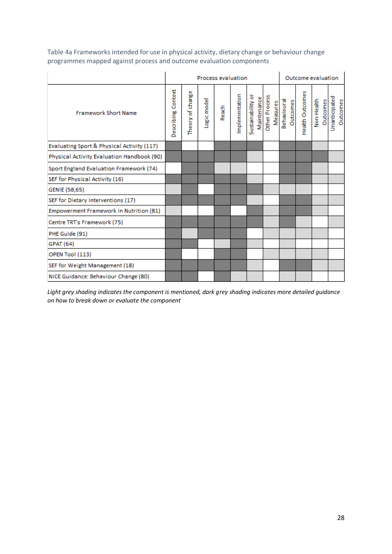|                                            |                    |                      | <b>Process evaluation</b> |       |                | Outcome evaluation               |                           |                         |                 |                        |                           |
|--------------------------------------------|--------------------|----------------------|---------------------------|-------|----------------|----------------------------------|---------------------------|-------------------------|-----------------|------------------------|---------------------------|
| <b>Framework Short Name</b>                | Describing Context | Φ<br>Theory of chang | Logic model               | Reach | Implementation | Sustainability or<br>Maintenance | Other Process<br>Measures | Behavioural<br>Outcomes | Health Outcomes | Outcomes<br>Non-Health | Unanticipated<br>Outcomes |
| Evaluating Sport & Physical Activity (117) |                    |                      |                           |       |                |                                  |                           |                         |                 |                        |                           |
| Physical Activity Evaluation Handbook (90) |                    |                      |                           |       |                |                                  |                           |                         |                 |                        |                           |
| Sport England Evaluation Framework (74)    |                    |                      |                           |       |                |                                  |                           |                         |                 |                        |                           |
| SEF for Physical Activity (16)             |                    |                      |                           |       |                |                                  |                           |                         |                 |                        |                           |
| GENIE (58,65)                              |                    |                      |                           |       |                |                                  |                           |                         |                 |                        |                           |
| SEF for Dietary Interventions (17)         |                    |                      |                           |       |                |                                  |                           |                         |                 |                        |                           |
| Empowerment Framework in Nutrition (81)    |                    |                      |                           |       |                |                                  |                           |                         |                 |                        |                           |
| Centre TRT's Framework (75)                |                    |                      |                           |       |                |                                  |                           |                         |                 |                        |                           |
| PHE Guide (91)                             |                    |                      |                           |       |                |                                  |                           |                         |                 |                        |                           |
| <b>GPAT (64)</b>                           |                    |                      |                           |       |                |                                  |                           |                         |                 |                        |                           |
| OPEN Tool (113)                            |                    |                      |                           |       |                |                                  |                           |                         |                 |                        |                           |
| SEF for Weight Management (18)             |                    |                      |                           |       |                |                                  |                           |                         |                 |                        |                           |
| NICE Guidance: Behaviour Change (80)       |                    |                      |                           |       |                |                                  |                           |                         |                 |                        |                           |

Table 4a Frameworks intended for use in physical activity, dietary change or behaviour change programmes mapped against process and outcome evaluation components

*Light grey shading indicates the component is mentioned, dark grey shading indicates more detailed guidance on how to break down or evaluate the component*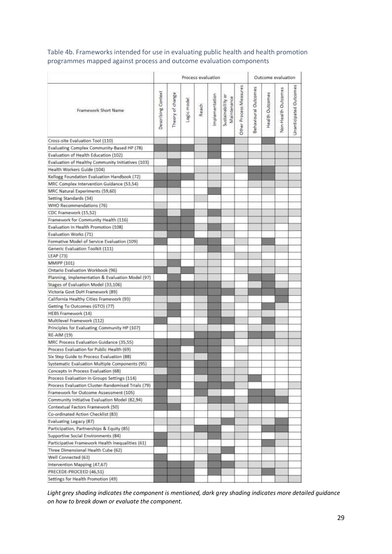Table 4b. Frameworks intended for use in evaluating public health and health promotion programmes mapped against process and outcome evaluation components

|                                                   | Process evaluation |                      |           |       |               |                                  |                        |                      |                 | Outcome evaluation  |                        |  |  |
|---------------------------------------------------|--------------------|----------------------|-----------|-------|---------------|----------------------------------|------------------------|----------------------|-----------------|---------------------|------------------------|--|--|
| Framework Short Name                              | Describing Context | ω<br>Theory of chang | ogic mode | Reach | mplementation | Sustainability or<br>Maintenance | Other Process Measures | Behavioural Outcomes | Health Outcomes | Non-Health Outcomes | Unanticipated Outcomes |  |  |
| Cross-site Evaluation Tool (110)                  |                    |                      |           |       |               |                                  |                        |                      |                 |                     |                        |  |  |
| Evaluating Complex Community-Based HP (78)        |                    |                      |           |       |               |                                  |                        |                      |                 |                     |                        |  |  |
| Evaluation of Health Education (102)              |                    |                      |           |       |               |                                  |                        |                      |                 |                     |                        |  |  |
| Evaluation of Healthy Community Initiatives (103) |                    |                      |           |       |               |                                  |                        |                      |                 |                     |                        |  |  |
| Health Workers Guide (104)                        |                    |                      |           |       |               |                                  |                        |                      |                 |                     |                        |  |  |
| Kellogg Foundation Evaluation Handbook (72)       |                    |                      |           |       |               |                                  |                        |                      |                 |                     |                        |  |  |
| MRC Complex Intervention Guidance (53,54)         |                    |                      |           |       |               |                                  |                        |                      |                 |                     |                        |  |  |
| MRC Natural Experiments (59,60)                   |                    |                      |           |       |               |                                  |                        |                      |                 |                     |                        |  |  |
| Setting Standards (34)                            |                    |                      |           |       |               |                                  |                        |                      |                 |                     |                        |  |  |
| WHO Recommendations (76)                          |                    |                      |           |       |               |                                  |                        |                      |                 |                     |                        |  |  |
| CDC Framework (15,52)                             |                    |                      |           |       |               |                                  |                        |                      |                 |                     |                        |  |  |
| Framework for Community Health (116)              |                    |                      |           |       |               |                                  |                        |                      |                 |                     |                        |  |  |
| Evaluation in Health Promotion (108)              |                    |                      |           |       |               |                                  |                        |                      |                 |                     |                        |  |  |
| Evaluation Works (71)                             |                    |                      |           |       |               |                                  |                        |                      |                 |                     |                        |  |  |
| Formative Model of Service Evaluation (109)       |                    |                      |           |       |               |                                  |                        |                      |                 |                     |                        |  |  |
| Generic Evaluation Toolkit (111)                  |                    |                      |           |       |               |                                  |                        |                      |                 |                     |                        |  |  |
| LEAP (73)                                         |                    |                      |           |       |               |                                  |                        |                      |                 |                     |                        |  |  |
| MMIPP (101)                                       |                    |                      |           |       |               |                                  |                        |                      |                 |                     |                        |  |  |
| Ontario Evaluation Workbook (96)                  |                    |                      |           |       |               |                                  |                        |                      |                 |                     |                        |  |  |
| Planning, Implementation & Evaluation Model (97)  |                    |                      |           |       |               |                                  |                        |                      |                 |                     |                        |  |  |
| Stages of Evaluation Model (33,106)               |                    |                      |           |       |               |                                  |                        |                      |                 |                     |                        |  |  |
| Victoria Govt DoH Framework (89)                  |                    |                      |           |       |               |                                  |                        |                      |                 |                     |                        |  |  |
| California Healthy Cities Framework (93)          |                    |                      |           |       |               |                                  |                        |                      |                 |                     |                        |  |  |
| Getting To Outcomes (GTO) (77)                    |                    |                      |           |       |               |                                  |                        |                      |                 |                     |                        |  |  |
| HEBS Framework (14)                               |                    |                      |           |       |               |                                  |                        |                      |                 |                     |                        |  |  |
| Multilevel Framework (112)                        |                    |                      |           |       |               |                                  |                        |                      |                 |                     |                        |  |  |
| Principles for Evaluating Community HP (107)      |                    |                      |           |       |               |                                  |                        |                      |                 |                     |                        |  |  |
| RE-AIM (19)                                       |                    |                      |           |       |               |                                  |                        |                      |                 |                     |                        |  |  |
| MRC Process Evaluation Guidance (35,55)           |                    |                      |           |       |               |                                  |                        |                      |                 |                     |                        |  |  |
| Process Evaluation for Public Health (69)         |                    |                      |           |       |               |                                  |                        |                      |                 |                     |                        |  |  |
| Six Step Guide to Process Evaluation (88)         |                    |                      |           |       |               |                                  |                        |                      |                 |                     |                        |  |  |
| Systematic Evaluation Multiple Components (95)    |                    |                      |           |       |               |                                  |                        |                      |                 |                     |                        |  |  |
| Concepts in Process Evaluation (68)               |                    |                      |           |       |               |                                  |                        |                      |                 |                     |                        |  |  |
| Process Evaluation in Groups Settings (114)       |                    |                      |           |       |               |                                  |                        |                      |                 |                     |                        |  |  |
| Process Evaluation Cluster-Randomised Trials (79) |                    |                      |           |       |               |                                  |                        |                      |                 |                     |                        |  |  |
| Framework for Outcome Assessment (105)            |                    |                      |           |       |               |                                  |                        |                      |                 |                     |                        |  |  |
| Community Initiative Evaluation Model (82,94)     |                    |                      |           |       |               |                                  |                        |                      |                 |                     |                        |  |  |
| Contextual Factors Framework (50)                 |                    |                      |           |       |               |                                  |                        |                      |                 |                     |                        |  |  |
| Co-ordinated Action Checklist (83)                |                    |                      |           |       |               |                                  |                        |                      |                 |                     |                        |  |  |
| Evaluating Legacy (87)                            |                    |                      |           |       |               |                                  |                        |                      |                 |                     |                        |  |  |
| Participation, Partnerships & Equity (85)         |                    |                      |           |       |               |                                  |                        |                      |                 |                     |                        |  |  |
| Supportive Social Environments (84)               |                    |                      |           |       |               |                                  |                        |                      |                 |                     |                        |  |  |
| Participative Framework Health Inequalities (61)  |                    |                      |           |       |               |                                  |                        |                      |                 |                     |                        |  |  |
| Three Dimensional Health Cube (62)                |                    |                      |           |       |               |                                  |                        |                      |                 |                     |                        |  |  |
| Well Connected (63)                               |                    |                      |           |       |               |                                  |                        |                      |                 |                     |                        |  |  |
| Intervention Mapping (47,67)                      |                    |                      |           |       |               |                                  |                        |                      |                 |                     |                        |  |  |
| PRECEDE-PROCEED (46,51)                           |                    |                      |           |       |               |                                  |                        |                      |                 |                     |                        |  |  |
| Settings for Health Promotion (49)                |                    |                      |           |       |               |                                  |                        |                      |                 |                     |                        |  |  |

*Light grey shading indicates the component is mentioned, dark grey shading indicates more detailed guidance on how to break down or evaluate the component.*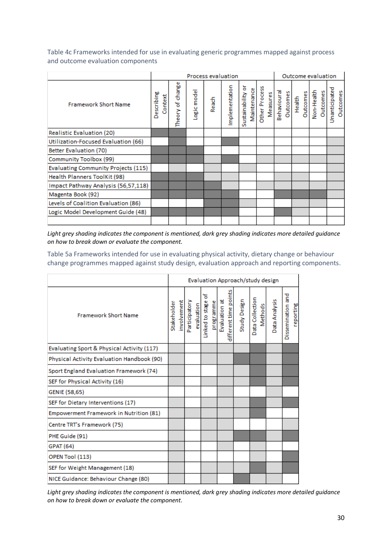Table 4c Frameworks intended for use in evaluating generic programmes mapped against process and outcome evaluation components

|                                     |                       |                          |            | <b>Process evaluation</b> |                |                                  |                           | Outcome evaluation |          |                                  |  |  |                                  |          |
|-------------------------------------|-----------------------|--------------------------|------------|---------------------------|----------------|----------------------------------|---------------------------|--------------------|----------|----------------------------------|--|--|----------------------------------|----------|
| <b>Framework Short Name</b>         | Describing<br>Context | ω<br>change<br>Theory of | ogic model | Reach                     | Implementation | Sustainability or<br>Maintenance | Other Process<br>Measures | Behavioural        | Outcomes | Health<br>Outcomes<br>Non-Health |  |  | Unanticipated<br><b>Outcomes</b> | Outcomes |
| Realistic Evaluation (20)           |                       |                          |            |                           |                |                                  |                           |                    |          |                                  |  |  |                                  |          |
| Utilization-Focused Evaluation (66) |                       |                          |            |                           |                |                                  |                           |                    |          |                                  |  |  |                                  |          |
| Better Evaluation (70)              |                       |                          |            |                           |                |                                  |                           |                    |          |                                  |  |  |                                  |          |
| Community Toolbox (99)              |                       |                          |            |                           |                |                                  |                           |                    |          |                                  |  |  |                                  |          |
| Evaluating Community Projects (115) |                       |                          |            |                           |                |                                  |                           |                    |          |                                  |  |  |                                  |          |
| Health Planners ToolKit (98)        |                       |                          |            |                           |                |                                  |                           |                    |          |                                  |  |  |                                  |          |
| Impact Pathway Analysis (56,57,118) |                       |                          |            |                           |                |                                  |                           |                    |          |                                  |  |  |                                  |          |
| Magenta Book (92)                   |                       |                          |            |                           |                |                                  |                           |                    |          |                                  |  |  |                                  |          |
| Levels of Coalition Evaluation (86) |                       |                          |            |                           |                |                                  |                           |                    |          |                                  |  |  |                                  |          |
| Logic Model Development Guide (48)  |                       |                          |            |                           |                |                                  |                           |                    |          |                                  |  |  |                                  |          |
|                                     |                       |                          |            |                           |                |                                  |                           |                    |          |                                  |  |  |                                  |          |

*Light grey shading indicates the component is mentioned, dark grey shading indicates more detailed guidance on how to break down or evaluate the component.*

Table 5a Frameworks intended for use in evaluating physical activity, dietary change or behaviour change programmes mapped against study design, evaluation approach and reporting components.

|                                            | Evaluation Approach/study design |             |               |            |                      |           |               |                       |              |                            |                   |                                 |  |
|--------------------------------------------|----------------------------------|-------------|---------------|------------|----------------------|-----------|---------------|-----------------------|--------------|----------------------------|-------------------|---------------------------------|--|
| <b>Framework Short Name</b>                | Stakeholder                      | involvement | Participatory | evaluation | ቴ<br>Linked to stage | programme | Evaluation at | different time points | Study Design | Data Collection<br>Methods | ata Analysis<br>Δ | 묺<br>Dissemination<br>reporting |  |
| Evaluating Sport & Physical Activity (117) |                                  |             |               |            |                      |           |               |                       |              |                            |                   |                                 |  |
| Physical Activity Evaluation Handbook (90) |                                  |             |               |            |                      |           |               |                       |              |                            |                   |                                 |  |
| Sport England Evaluation Framework (74)    |                                  |             |               |            |                      |           |               |                       |              |                            |                   |                                 |  |
| SEF for Physical Activity (16)             |                                  |             |               |            |                      |           |               |                       |              |                            |                   |                                 |  |
| GENIE (58,65)                              |                                  |             |               |            |                      |           |               |                       |              |                            |                   |                                 |  |
| SEF for Dietary Interventions (17)         |                                  |             |               |            |                      |           |               |                       |              |                            |                   |                                 |  |
| Empowerment Framework in Nutrition (81)    |                                  |             |               |            |                      |           |               |                       |              |                            |                   |                                 |  |
| Centre TRT's Framework (75)                |                                  |             |               |            |                      |           |               |                       |              |                            |                   |                                 |  |
| PHE Guide (91)                             |                                  |             |               |            |                      |           |               |                       |              |                            |                   |                                 |  |
| <b>GPAT (64)</b>                           |                                  |             |               |            |                      |           |               |                       |              |                            |                   |                                 |  |
| OPEN Tool (113)                            |                                  |             |               |            |                      |           |               |                       |              |                            |                   |                                 |  |
| SEF for Weight Management (18)             |                                  |             |               |            |                      |           |               |                       |              |                            |                   |                                 |  |
| NICE Guidance: Behaviour Change (80)       |                                  |             |               |            |                      |           |               |                       |              |                            |                   |                                 |  |

*Light grey shading indicates the component is mentioned, dark grey shading indicates more detailed guidance on how to break down or evaluate the component.*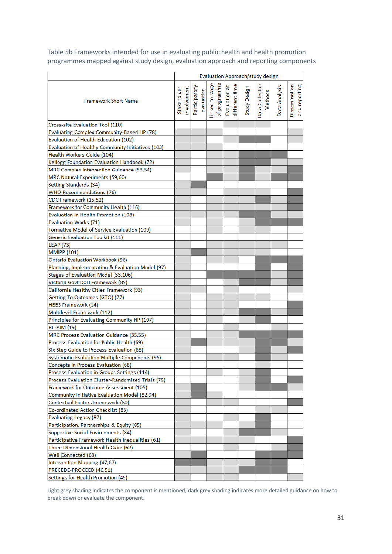Table 5b Frameworks intended for use in evaluating public health and health promotion programmes mapped against study design, evaluation approach and reporting components

|                                                   | Evaluation Approach/study design |            |                                                                |  |  |  |                                 |  |              |                 |         |               |                      |               |
|---------------------------------------------------|----------------------------------|------------|----------------------------------------------------------------|--|--|--|---------------------------------|--|--------------|-----------------|---------|---------------|----------------------|---------------|
| <b>Framework Short Name</b>                       | Stakeholder                      | nvolvement | Participatory<br>evaluation<br>Linked to stage<br>of programme |  |  |  | Evaluation at<br>different time |  | Study Design | Data Collection | Methods | Data Analysis | <b>Dissemination</b> | and reporting |
| Cross-site Evaluation Tool (110)                  |                                  |            |                                                                |  |  |  |                                 |  |              |                 |         |               |                      |               |
| <b>Evaluating Complex Community-Based HP (78)</b> |                                  |            |                                                                |  |  |  |                                 |  |              |                 |         |               |                      |               |
| Evaluation of Health Education (102)              |                                  |            |                                                                |  |  |  |                                 |  |              |                 |         |               |                      |               |
| Evaluation of Healthy Community Initiatives (103) |                                  |            |                                                                |  |  |  |                                 |  |              |                 |         |               |                      |               |
| Health Workers Guide (104)                        |                                  |            |                                                                |  |  |  |                                 |  |              |                 |         |               |                      |               |
| Kellogg Foundation Evaluation Handbook (72)       |                                  |            |                                                                |  |  |  |                                 |  |              |                 |         |               |                      |               |
| MRC Complex Intervention Guidance (53,54)         |                                  |            |                                                                |  |  |  |                                 |  |              |                 |         |               |                      |               |
| MRC Natural Experiments (59,60)                   |                                  |            |                                                                |  |  |  |                                 |  |              |                 |         |               |                      |               |
| Setting Standards (34)                            |                                  |            |                                                                |  |  |  |                                 |  |              |                 |         |               |                      |               |
| <b>WHO Recommendations (76)</b>                   |                                  |            |                                                                |  |  |  |                                 |  |              |                 |         |               |                      |               |
| CDC Framework (15,52)                             |                                  |            |                                                                |  |  |  |                                 |  |              |                 |         |               |                      |               |
| Framework for Community Health (116)              |                                  |            |                                                                |  |  |  |                                 |  |              |                 |         |               |                      |               |
| Evaluation in Health Promotion (108)              |                                  |            |                                                                |  |  |  |                                 |  |              |                 |         |               |                      |               |
| Evaluation Works (71)                             |                                  |            |                                                                |  |  |  |                                 |  |              |                 |         |               |                      |               |
| Formative Model of Service Evaluation (109)       |                                  |            |                                                                |  |  |  |                                 |  |              |                 |         |               |                      |               |
| <b>Generic Evaluation Toolkit (111)</b>           |                                  |            |                                                                |  |  |  |                                 |  |              |                 |         |               |                      |               |
| <b>LEAP (73)</b>                                  |                                  |            |                                                                |  |  |  |                                 |  |              |                 |         |               |                      |               |
| <b>MMIPP (101)</b>                                |                                  |            |                                                                |  |  |  |                                 |  |              |                 |         |               |                      |               |
| <b>Ontario Evaluation Workbook (96)</b>           |                                  |            |                                                                |  |  |  |                                 |  |              |                 |         |               |                      |               |
| Planning, Implementation & Evaluation Model (97)  |                                  |            |                                                                |  |  |  |                                 |  |              |                 |         |               |                      |               |
| Stages of Evaluation Model (33,106)               |                                  |            |                                                                |  |  |  |                                 |  |              |                 |         |               |                      |               |
| Victoria Govt DoH Framework (89)                  |                                  |            |                                                                |  |  |  |                                 |  |              |                 |         |               |                      |               |
| California Healthy Cities Framework (93)          |                                  |            |                                                                |  |  |  |                                 |  |              |                 |         |               |                      |               |
| Getting To Outcomes (GTO) (77)                    |                                  |            |                                                                |  |  |  |                                 |  |              |                 |         |               |                      |               |
| <b>HEBS Framework (14)</b>                        |                                  |            |                                                                |  |  |  |                                 |  |              |                 |         |               |                      |               |
| Multilevel Framework (112)                        |                                  |            |                                                                |  |  |  |                                 |  |              |                 |         |               |                      |               |
| Principles for Evaluating Community HP (107)      |                                  |            |                                                                |  |  |  |                                 |  |              |                 |         |               |                      |               |
| <b>RE-AIM (19)</b>                                |                                  |            |                                                                |  |  |  |                                 |  |              |                 |         |               |                      |               |
| MRC Process Evaluation Guidance (35,55)           |                                  |            |                                                                |  |  |  |                                 |  |              |                 |         |               |                      |               |
| Process Evaluation for Public Health (69)         |                                  |            |                                                                |  |  |  |                                 |  |              |                 |         |               |                      |               |
| Six Step Guide to Process Evaluation (88)         |                                  |            |                                                                |  |  |  |                                 |  |              |                 |         |               |                      |               |
| Systematic Evaluation Multiple Components (95)    |                                  |            |                                                                |  |  |  |                                 |  |              |                 |         |               |                      |               |
| Concepts in Process Evaluation (68)               |                                  |            |                                                                |  |  |  |                                 |  |              |                 |         |               |                      |               |
| Process Evaluation in Groups Settings (114)       |                                  |            |                                                                |  |  |  |                                 |  |              |                 |         |               |                      |               |
| Process Evaluation Cluster-Randomised Trials (79) |                                  |            |                                                                |  |  |  |                                 |  |              |                 |         |               |                      |               |
| Framework for Outcome Assessment (105)            |                                  |            |                                                                |  |  |  |                                 |  |              |                 |         |               |                      |               |
| Community Initiative Evaluation Model (82,94)     |                                  |            |                                                                |  |  |  |                                 |  |              |                 |         |               |                      |               |
| Contextual Factors Framework (50)                 |                                  |            |                                                                |  |  |  |                                 |  |              |                 |         |               |                      |               |
| Co-ordinated Action Checklist (83)                |                                  |            |                                                                |  |  |  |                                 |  |              |                 |         |               |                      |               |
| <b>Evaluating Legacy (87)</b>                     |                                  |            |                                                                |  |  |  |                                 |  |              |                 |         |               |                      |               |
| Participation, Partnerships & Equity (85)         |                                  |            |                                                                |  |  |  |                                 |  |              |                 |         |               |                      |               |
| Supportive Social Environments (84)               |                                  |            |                                                                |  |  |  |                                 |  |              |                 |         |               |                      |               |
| Participative Framework Health Inequalities (61)  |                                  |            |                                                                |  |  |  |                                 |  |              |                 |         |               |                      |               |
| Three Dimensional Health Cube (62)                |                                  |            |                                                                |  |  |  |                                 |  |              |                 |         |               |                      |               |
| Well Connected (63)                               |                                  |            |                                                                |  |  |  |                                 |  |              |                 |         |               |                      |               |
| Intervention Mapping (47,67)                      |                                  |            |                                                                |  |  |  |                                 |  |              |                 |         |               |                      |               |
| PRECEDE-PROCEED (46,51)                           |                                  |            |                                                                |  |  |  |                                 |  |              |                 |         |               |                      |               |
| Settings for Health Promotion (49)                |                                  |            |                                                                |  |  |  |                                 |  |              |                 |         |               |                      |               |

Light grey shading indicates the component is mentioned, dark grey shading indicates more detailed guidance on how to break down or evaluate the component.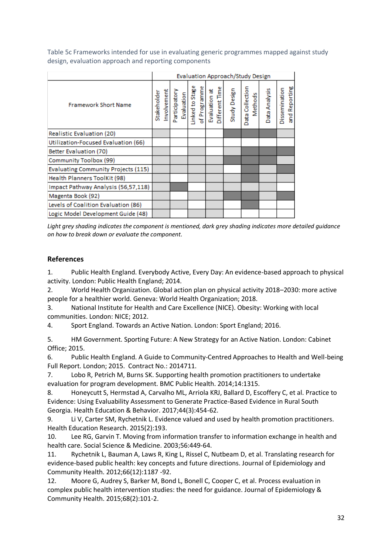Table 5c Frameworks intended for use in evaluating generic programmes mapped against study design, evaluation approach and reporting components

|                                     | Evaluation Approach/Study Design |             |  |  |                                                                                 |  |                |              |                 |         |               |                                |
|-------------------------------------|----------------------------------|-------------|--|--|---------------------------------------------------------------------------------|--|----------------|--------------|-----------------|---------|---------------|--------------------------------|
| <b>Framework Short Name</b>         | Stakeholder                      | Involvement |  |  | Participatory<br>Evaluation<br>Linked to Stage<br>of Programme<br>Evaluation at |  | Different Time | Study Design | Data Collection | Methods | Data Analysis | and Reporting<br>Dissemination |
| <b>Realistic Evaluation (20)</b>    |                                  |             |  |  |                                                                                 |  |                |              |                 |         |               |                                |
| Utilization-Focused Evaluation (66) |                                  |             |  |  |                                                                                 |  |                |              |                 |         |               |                                |
| <b>Better Evaluation (70)</b>       |                                  |             |  |  |                                                                                 |  |                |              |                 |         |               |                                |
| Community Toolbox (99)              |                                  |             |  |  |                                                                                 |  |                |              |                 |         |               |                                |
| Evaluating Community Projects (115) |                                  |             |  |  |                                                                                 |  |                |              |                 |         |               |                                |
| Health Planners ToolKit (98)        |                                  |             |  |  |                                                                                 |  |                |              |                 |         |               |                                |
| Impact Pathway Analysis (56,57,118) |                                  |             |  |  |                                                                                 |  |                |              |                 |         |               |                                |
| Magenta Book (92)                   |                                  |             |  |  |                                                                                 |  |                |              |                 |         |               |                                |
| Levels of Coalition Evaluation (86) |                                  |             |  |  |                                                                                 |  |                |              |                 |         |               |                                |
| Logic Model Development Guide (48)  |                                  |             |  |  |                                                                                 |  |                |              |                 |         |               |                                |

*Light grey shading indicates the component is mentioned, dark grey shading indicates more detailed guidance on how to break down or evaluate the component.*

# **References**

1. Public Health England. Everybody Active, Every Day: An evidence-based approach to physical activity. London: Public Health England; 2014.

2. World Health Organization. Global action plan on physical activity 2018–2030: more active people for a healthier world. Geneva: World Health Organization; 2018.

3. National Institute for Health and Care Excellence (NICE). Obesity: Working with local communities. London: NICE; 2012.

4. Sport England. Towards an Active Nation. London: Sport England; 2016.

5. HM Government. Sporting Future: A New Strategy for an Active Nation. London: Cabinet Office; 2015.

6. Public Health England. A Guide to Community-Centred Approaches to Health and Well-being Full Report. London; 2015. Contract No.: 2014711.

7. Lobo R, Petrich M, Burns SK. Supporting health promotion practitioners to undertake evaluation for program development. BMC Public Health. 2014;14:1315.

8. Honeycutt S, Hermstad A, Carvalho ML, Arriola KRJ, Ballard D, Escoffery C, et al. Practice to Evidence: Using Evaluability Assessment to Generate Practice-Based Evidence in Rural South Georgia. Health Education & Behavior. 2017;44(3):454-62.

9. Li V, Carter SM, Rychetnik L. Evidence valued and used by health promotion practitioners. Health Education Research. 2015(2):193.

10. Lee RG, Garvin T. Moving from information transfer to information exchange in health and health care. Social Science & Medicine. 2003;56:449-64.

11. Rychetnik L, Bauman A, Laws R, King L, Rissel C, Nutbeam D, et al. Translating research for evidence-based public health: key concepts and future directions. Journal of Epidemiology and Community Health. 2012;66(12):1187 -92.

12. Moore G, Audrey S, Barker M, Bond L, Bonell C, Cooper C, et al. Process evaluation in complex public health intervention studies: the need for guidance. Journal of Epidemiology & Community Health. 2015;68(2):101-2.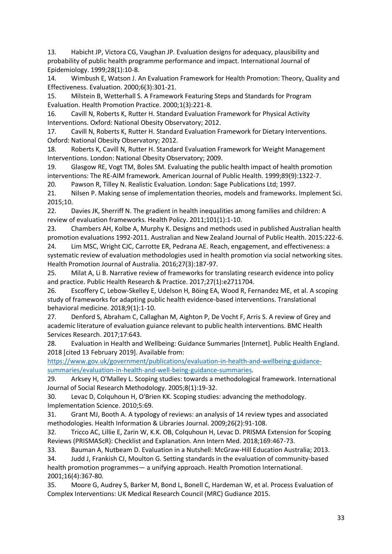13. Habicht JP, Victora CG, Vaughan JP. Evaluation designs for adequacy, plausibility and probability of public health programme performance and impact. International Journal of Epidemiology. 1999;28(1):10-8.

14. Wimbush E, Watson J. An Evaluation Framework for Health Promotion: Theory, Quality and Effectiveness. Evaluation. 2000;6(3):301-21.

15. Milstein B, Wetterhall S. A Framework Featuring Steps and Standards for Program Evaluation. Health Promotion Practice. 2000;1(3):221-8.

16. Cavill N, Roberts K, Rutter H. Standard Evaluation Framework for Physical Activity Interventions. Oxford: National Obesity Observatory; 2012.

17. Cavill N, Roberts K, Rutter H. Standard Evaluation Framework for Dietary Interventions. Oxford: National Obesity Observatory; 2012.

18. Roberts K, Cavill N, Rutter H. Standard Evaluation Framework for Weight Management Interventions. London: National Obesity Observatory; 2009.

19. Glasgow RE, Vogt TM, Boles SM. Evaluating the public health impact of health promotion interventions: The RE-AIM framework. American Journal of Public Health. 1999;89(9):1322-7.

20. Pawson R, Tilley N. Realistic Evaluation. London: Sage Publications Ltd; 1997.

21. Nilsen P. Making sense of implementation theories, models and frameworks. Implement Sci. 2015;10.

22. Davies JK, Sherriff N. The gradient in health inequalities among families and children: A review of evaluation frameworks. Health Policy. 2011;101(1):1-10.

23. Chambers AH, Kolbe A, Murphy K. Designs and methods used in published Australian health promotion evaluations 1992-2011. Australian and New Zealand Journal of Public Health. 2015:222-6.

24. Lim MSC, Wright CJC, Carrotte ER, Pedrana AE. Reach, engagement, and effectiveness: a systematic review of evaluation methodologies used in health promotion via social networking sites. Health Promotion Journal of Australia. 2016;27(3):187-97.

25. Milat A, Li B. Narrative review of frameworks for translating research evidence into policy and practice. Public Health Research & Practice. 2017;27(1):e2711704.

26. Escoffery C, Lebow-Skelley E, Udelson H, Böing EA, Wood R, Fernandez ME, et al. A scoping study of frameworks for adapting public health evidence-based interventions. Translational behavioral medicine. 2018;9(1):1-10.

27. Denford S, Abraham C, Callaghan M, Aighton P, De Vocht F, Arris S. A review of Grey and academic literature of evaluation guiance relevant to public health interventions. BMC Health Services Research. 2017;17:643.

28. Evaluation in Health and Wellbeing: Guidance Summaries [Internet]. Public Health England. 2018 [cited 13 February 2019]. Available from:

[https://www.gov.uk/government/publications/evaluation-in-health-and-wellbeing-guidance](https://www.gov.uk/government/publications/evaluation-in-health-and-wellbeing-guidance-summaries/evaluation-in-health-and-well-being-guidance-summaries)[summaries/evaluation-in-health-and-well-being-guidance-summaries.](https://www.gov.uk/government/publications/evaluation-in-health-and-wellbeing-guidance-summaries/evaluation-in-health-and-well-being-guidance-summaries)

29. Arksey H, O'Malley L. Scoping studies: towards a methodological framework. International Journal of Social Research Methodology. 2005;8(1):19-32.

30. Levac D, Colquhoun H, O'Brien KK. Scoping studies: advancing the methodology. Implementation Science. 2010;5:69.

31. Grant MJ, Booth A. A typology of reviews: an analysis of 14 review types and associated methodologies. Health Information & Libraries Journal. 2009;26(2):91-108.

32. Tricco AC, Lillie E, Zarin W, K.K. OB, Colquhoun H, Levac D. PRISMA Extension for Scoping Reviews (PRISMAScR): Checklist and Explanation. Ann Intern Med. 2018;169:467-73.

33. Bauman A, Nutbeam D. Evaluation in a Nutshell: McGraw-Hill Education Australia; 2013.

34. Judd J, Frankish CJ, Moulton G. Setting standards in the evaluation of community-based health promotion programmes— a unifying approach. Health Promotion International. 2001;16(4):367-80.

35. Moore G, Audrey S, Barker M, Bond L, Bonell C, Hardeman W, et al. Process Evaluation of Complex Interventions: UK Medical Research Council (MRC) Gudiance 2015.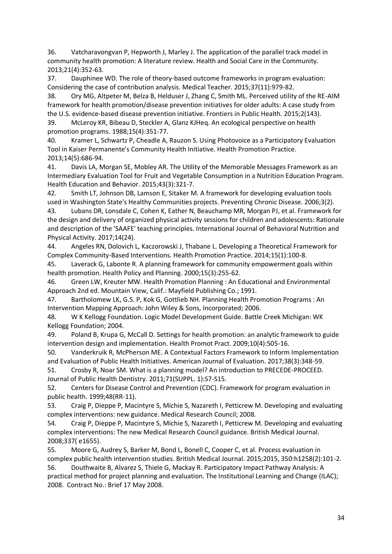36. Vatcharavongvan P, Hepworth J, Marley J. The application of the parallel track model in community health promotion: A literature review. Health and Social Care in the Community. 2013;21(4):352-63.

37. Dauphinee WD. The role of theory-based outcome frameworks in program evaluation: Considering the case of contribution analysis. Medical Teacher. 2015;37(11):979-82.

38. Ory MG, Altpeter M, Belza B, Helduser J, Zhang C, Smith ML. Perceived utility of the RE-AIM framework for health promotion/disease prevention initiatives for older adults: A case study from the U.S. evidence-based disease prevention initiative. Frontiers in Public Health. 2015;2(143).

39. McLeroy KR, Bibeau D, Steckler A, Glanz KJHeq. An ecological perspective on health promotion programs. 1988;15(4):351-77.

40. Kramer L, Schwartz P, Cheadle A, Rauzon S. Using Photovoice as a Participatory Evaluation Tool in Kaiser Permanente's Community Health Initiative. Health Promotion Practice. 2013;14(5):686-94.

41. Davis LA, Morgan SE, Mobley AR. The Utility of the Memorable Messages Framework as an Intermediary Evaluation Tool for Fruit and Vegetable Consumption in a Nutrition Education Program. Health Education and Behavior. 2015;43(3):321-7.

42. Smith LT, Johnson DB, Lamson E, Sitaker M. A framework for developing evaluation tools used in Washington State's Healthy Communities projects. Preventing Chronic Disease. 2006;3(2).

43. Lubans DR, Lonsdale C, Cohen K, Eather N, Beauchamp MR, Morgan PJ, et al. Framework for the design and delivery of organized physical activity sessions for children and adolescents: Rationale and description of the 'SAAFE' teaching principles. International Journal of Behavioral Nutrition and Physical Activity. 2017;14(24).

44. Angeles RN, Dolovich L, Kaczorowski J, Thabane L. Developing a Theoretical Framework for Complex Community-Based Interventions. Health Promotion Practice. 2014;15(1):100-8.

45. Laverack G, Labonte R. A planning framework for community empowerment goals within health promotion. Health Policy and Planning. 2000;15(3):255-62.

46. Green LW, Kreuter MW. Health Promotion Planning : An Educational and Environmental Approach 2nd ed. Mountain View, Calif.: Mayfield Publishing Co.; 1991.

47. Bartholomew LK, G.S. P, Kok G, Gottlieb NH. Planning Health Promotion Programs : An Intervention Mapping Approach: John Wiley & Sons, Incorporated; 2006.

48. W K Kellogg Foundation. Logic Model Development Guide. Battle Creek Michigan: WK Kellogg Foundation; 2004.

49. Poland B, Krupa G, McCall D. Settings for health promotion: an analytic framework to guide intervention design and implementation. Health Promot Pract. 2009;10(4):505-16.

50. Vanderkruik R, McPherson ME. A Contextual Factors Framework to Inform Implementation and Evaluation of Public Health Initiatives. American Journal of Evaluation. 2017;38(3):348-59.

51. Crosby R, Noar SM. What is a planning model? An introduction to PRECEDE-PROCEED. Journal of Public Health Dentistry. 2011;71(SUPPL. 1):S7-S15.

52. Centers for Disease Control and Prevention (CDC). Framework for program evaluation in public health. 1999;48(RR-11).

53. Craig P, Dieppe P, Macintyre S, Michie S, Nazareth I, Petticrew M. Developing and evaluating complex interventions: new guidance. Medical Research Council; 2008.

54. Craig P, Dieppe P, Macintyre S, Michie S, Nazareth I, Petticrew M. Developing and evaluating complex interventions: The new Medical Research Council guidance. British Medical Journal. 2008;337( e1655).

55. Moore G, Audrey S, Barker M, Bond L, Bonell C, Cooper C, et al. Process evaluation in complex public health intervention studies. British Medical Journal. 2015;2015, 350:h1258(2):101-2.

56. Douthwaite B, Alvarez S, Thiele G, Mackay R. Participatory Impact Pathway Analysis: A practical method for project planning and evaluation. The Institutional Learning and Change (ILAC); 2008. Contract No.: Brief 17 May 2008.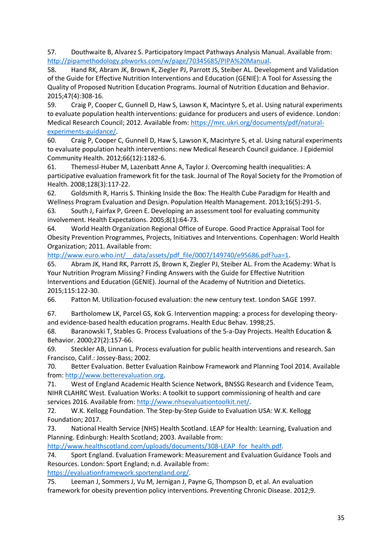57. Douthwaite B, Alvarez S. Participatory Impact Pathways Analysis Manual. Available from: [http://pipamethodology.pbworks.com/w/page/70345685/PIPA%20Manual.](http://pipamethodology.pbworks.com/w/page/70345685/PIPA%20Manual)

58. Hand RK, Abram JK, Brown K, Ziegler PJ, Parrott JS, Steiber AL. Development and Validation of the Guide for Effective Nutrition Interventions and Education (GENIE): A Tool for Assessing the Quality of Proposed Nutrition Education Programs. Journal of Nutrition Education and Behavior. 2015;47(4):308-16.

59. Craig P, Cooper C, Gunnell D, Haw S, Lawson K, Macintyre S, et al. Using natural experiments to evaluate population health interventions: guidance for producers and users of evidence. London: Medical Research Council; 2012. Available from[: https://mrc.ukri.org/documents/pdf/natural](https://mrc.ukri.org/documents/pdf/natural-experiments-guidance/)[experiments-guidance/.](https://mrc.ukri.org/documents/pdf/natural-experiments-guidance/)

60. Craig P, Cooper C, Gunnell D, Haw S, Lawson K, Macintyre S, et al. Using natural experiments to evaluate population health interventions: new Medical Research Council guidance. J Epidemiol Community Health. 2012;66(12):1182-6.

61. Themessl-Huber M, Lazenbatt Anne A, Taylor J. Overcoming health inequalities: A participative evaluation framework fit for the task. Journal of The Royal Society for the Promotion of Health. 2008;128(3):117-22.

62. Goldsmith R, Harris S. Thinking Inside the Box: The Health Cube Paradigm for Health and Wellness Program Evaluation and Design. Population Health Management. 2013;16(5):291-5.

63. South J, Fairfax P, Green E. Developing an assessment tool for evaluating community involvement. Health Expectations. 2005;8(1):64-73.

64. World Health Organization Regional Office of Europe. Good Practice Appraisal Tool for Obesity Prevention Programmes, Projects, Initiatives and Interventions. Copenhagen: World Health Organization; 2011. Available from:

http://www.euro.who.int/ data/assets/pdf file/0007/149740/e95686.pdf?ua=1.

65. Abram JK, Hand RK, Parrott JS, Brown K, Ziegler PJ, Steiber AL. From the Academy: What Is Your Nutrition Program Missing? Finding Answers with the Guide for Effective Nutrition Interventions and Education (GENIE). Journal of the Academy of Nutrition and Dietetics. 2015;115:122-30.

66. Patton M. Utilization-focused evaluation: the new century text. London SAGE 1997.

| 67. | Bartholomew LK, Parcel GS, Kok G. Intervention mapping: a process for developing theory- |
|-----|------------------------------------------------------------------------------------------|
|     | and evidence-based health education programs. Health Educ Behav. 1998;25.                |

68. Baranowski T, Stables G. Process Evaluations of the 5-a-Day Projects. Health Education & Behavior. 2000;27(2):157-66.

69. Steckler AB, Linnan L. Process evaluation for public health interventions and research. San Francisco, Calif.: Jossey-Bass; 2002.

70. Better Evaluation. Better Evaluation Rainbow Framework and Planning Tool 2014. Available from: [http://www.betterevaluation.org.](http://www.betterevaluation.org/)

71. West of England Academic Health Science Network, BNSSG Research and Evidence Team, NIHR CLAHRC West. Evaluation Works: A toolkit to support commissioning of health and care services 2016. Available from: [http://www.nhsevaluationtoolkit.net/.](http://www.nhsevaluationtoolkit.net/)

72. W.K. Kellogg Foundation. The Step-by-Step Guide to Evaluation USA: W.K. Kellogg Foundation; 2017.

73. National Health Service (NHS) Health Scotland. LEAP for Health: Learning, Evaluation and Planning. Edinburgh: Health Scotland; 2003. Available from:

[http://www.healthscotland.com/uploads/documents/308-LEAP\\_for\\_health.pdf.](http://www.healthscotland.com/uploads/documents/308-LEAP_for_health.pdf)

74. Sport England. Evaluation Framework: Measurement and Evaluation Guidance Tools and Resources. London: Sport England; n.d. Available from:

[https://evaluationframework.sportengland.org/.](https://evaluationframework.sportengland.org/)

75. Leeman J, Sommers J, Vu M, Jernigan J, Payne G, Thompson D, et al. An evaluation framework for obesity prevention policy interventions. Preventing Chronic Disease. 2012;9.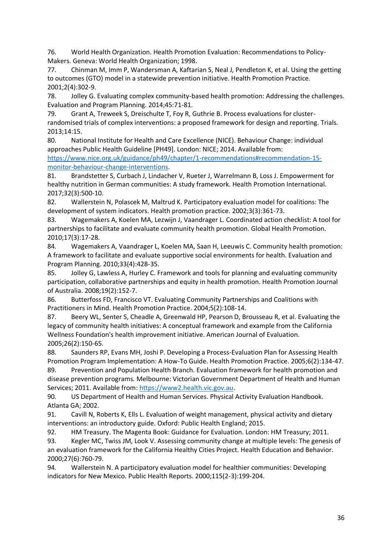76. World Health Organization. Health Promotion Evaluation: Recommendations to Policy-Makers. Geneva: World Health Organization; 1998.

77. Chinman M, Imm P, Wandersman A, Kaftarian S, Neal J, Pendleton K, et al. Using the getting to outcomes (GTO) model in a statewide prevention initiative. Health Promotion Practice. 2001;2(4):302-9.

78. Jolley G. Evaluating complex community-based health promotion: Addressing the challenges. Evaluation and Program Planning. 2014;45:71-81.

79. Grant A, Treweek S, Dreischulte T, Foy R, Guthrie B. Process evaluations for clusterrandomised trials of complex interventions: a proposed framework for design and reporting. Trials. 2013;14:15.

80. National Institute for Health and Care Excellence (NICE). Behaviour Change: individual approaches Public Health Guideline [PH49]. London: NICE; 2014. Available from: [https://www.nice.org.uk/guidance/ph49/chapter/1-recommendations#recommendation-15-](https://www.nice.org.uk/guidance/ph49/chapter/1-recommendations#recommendation-15-monitor-behaviour-change-interventions)

[monitor-behaviour-change-interventions.](https://www.nice.org.uk/guidance/ph49/chapter/1-recommendations#recommendation-15-monitor-behaviour-change-interventions) 81. Brandstetter S, Curbach J, Lindacher V, Rueter J, Warrelmann B, Loss J. Empowerment for healthy nutrition in German communities: A study framework. Health Promotion International. 2017;32(3):500-10.

82. Wallerstein N, Polascek M, Maltrud K. Participatory evaluation model for coalitions: The development of system indicators. Health promotion practice. 2002;3(3):361-73.

83. Wagemakers A, Koelen MA, Lezwijn J, Vaandrager L. Coordinated action checklist: A tool for partnerships to facilitate and evaluate community health promotion. Global Health Promotion. 2010;17(3):17-28.

84. Wagemakers A, Vaandrager L, Koelen MA, Saan H, Leeuwis C. Community health promotion: A framework to facilitate and evaluate supportive social environments for health. Evaluation and Program Planning. 2010;33(4):428-35.

85. Jolley G, Lawless A, Hurley C. Framework and tools for planning and evaluating community participation, collaborative partnerships and equity in health promotion. Health Promotion Journal of Australia. 2008;19(2):152-7.

86. Butterfoss FD, Francisco VT. Evaluating Community Partnerships and Coalitions with Practitioners in Mind. Health Promotion Practice. 2004;5(2):108-14.

87. Beery WL, Senter S, Cheadle A, Greenwald HP, Pearson D, Brousseau R, et al. Evaluating the legacy of community health initiatives: A conceptual framework and example from the California Wellness Foundation's health improvement initiative. American Journal of Evaluation. 2005;26(2):150-65.

88. Saunders RP, Evans MH, Joshi P. Developing a Process-Evaluation Plan for Assessing Health Promotion Program Implementation: A How-To Guide. Health Promotion Practice. 2005;6(2):134-47.

89. Prevention and Population Health Branch. Evaluation framework for health promotion and disease prevention programs. Melbourne: Victorian Government Department of Health and Human Services; 2011. Available from[: https://www2.health.vic.gov.au.](https://www2.health.vic.gov.au/)

90. US Department of Health and Human Services. Physical Activity Evaluation Handbook. Atlanta GA; 2002.

91. Cavill N, Roberts K, Ells L. Evaluation of weight management, physical activity and dietary interventions: an introductory guide. Oxford: Public Health England; 2015.

92. HM Treasury. The Magenta Book: Guidance for Evaluation. London: HM Treasury; 2011.

93. Kegler MC, Twiss JM, Look V. Assessing community change at multiple levels: The genesis of an evaluation framework for the California Healthy Cities Project. Health Education and Behavior. 2000;27(6):760-79.

94. Wallerstein N. A participatory evaluation model for healthier communities: Developing indicators for New Mexico. Public Health Reports. 2000;115(2-3):199-204.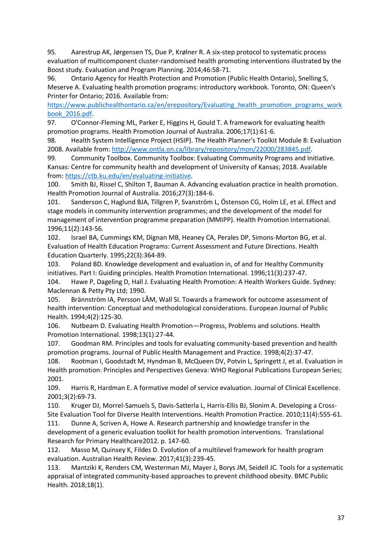95. Aarestrup AK, Jørgensen TS, Due P, Krølner R. A six-step protocol to systematic process evaluation of multicomponent cluster-randomised health promoting interventions illustrated by the Boost study. Evaluation and Program Planning. 2014;46:58-71.

96. Ontario Agency for Health Protection and Promotion (Public Health Ontario), Snelling S, Meserve A. Evaluating health promotion programs: introductory workbook. Toronto, ON: Queen's Printer for Ontario; 2016. Available from:

[https://www.publichealthontario.ca/en/erepository/Evaluating\\_health\\_promotion\\_programs\\_work](https://www.publichealthontario.ca/en/erepository/Evaluating_health_promotion_programs_workbook_2016.pdf) [book\\_2016.pdf.](https://www.publichealthontario.ca/en/erepository/Evaluating_health_promotion_programs_workbook_2016.pdf)

97. O'Connor-Fleming ML, Parker E, Higgins H, Gould T. A framework for evaluating health promotion programs. Health Promotion Journal of Australia. 2006;17(1):61-6.

98. Health System Intelligence Project (HSIP). The Health Planner's Toolkit Module 8: Evaluation 2008. Available from: [http://www.ontla.on.ca/library/repository/mon/22000/283845.pdf.](http://www.ontla.on.ca/library/repository/mon/22000/283845.pdf)

99. Community Toolbox. Community Toolbox: Evaluating Community Programs and Initiative. Kansas: Centre for community health and development of University of Kansas; 2018. Available from: [https://ctb.ku.edu/en/evaluating-initiative.](https://ctb.ku.edu/en/evaluating-initiative)

100. Smith BJ, Rissel C, Shilton T, Bauman A. Advancing evaluation practice in health promotion. Health Promotion Journal of Australia. 2016;27(3):184-6.

101. Sanderson C, Haglund BJA, Tillgren P, Svanström L, Östenson CG, Holm LE, et al. Effect and stage models in community intervention programmes; and the development of the model for management of intervention programme preparation (MMIPP). Health Promotion International. 1996;11(2):143-56.

102. Israel BA, Cummings KM, Dignan MB, Heaney CA, Perales DP, Simons-Morton BG, et al. Evaluation of Health Education Programs: Current Assessment and Future Directions. Health Education Quarterly. 1995;22(3):364-89.

103. Poland BD. Knowledge development and evaluation in, of and for Healthy Community initiatives. Part I: Guiding principles. Health Promotion International. 1996;11(3):237-47.

104. Hawe P, Dageling D, Hall J. Evaluating Health Promotion: A Health Workers Guide. Sydney: Maclennan & Petty Pty Ltd; 1990.

105. Brännström IA, Persson LÅM, Wall SI. Towards a framework for outcome assessment of health intervention: Conceptual and methodological considerations. European Journal of Public Health. 1994;4(2):125-30.

106. Nutbeam D. Evaluating Health Promotion—Progress, Problems and solutions. Health Promotion International. 1998;13(1):27-44.

107. Goodman RM. Principles and tools for evaluating community-based prevention and health promotion programs. Journal of Public Health Management and Practice. 1998;4(2):37-47.

108. Rootman I, Goodstadt M, Hyndman B, McQueen DV, Potvin L, Springett J, et al. Evaluation in Health promotion: Principles and Perspectives Geneva: WHO Regional Publications European Series; 2001.

109. Harris R, Hardman E. A formative model of service evaluation. Journal of Clinical Excellence. 2001;3(2):69-73.

110. Kruger DJ, Morrel-Samuels S, Davis-Satterla L, Harris-Ellis BJ, Slonim A. Developing a Cross-Site Evaluation Tool for Diverse Health Interventions. Health Promotion Practice. 2010;11(4):555-61.

111. Dunne A, Scriven A, Howe A. Research partnership and knowledge transfer in the development of a generic evaluation toolkit for health promotion interventions. Translational Research for Primary Healthcare2012. p. 147-60.

112. Masso M, Quinsey K, Fildes D. Evolution of a multilevel framework for health program evaluation. Australian Health Review. 2017;41(3):239-45.

113. Mantziki K, Renders CM, Westerman MJ, Mayer J, Borys JM, Seidell JC. Tools for a systematic appraisal of integrated community-based approaches to prevent childhood obesity. BMC Public Health. 2018;18(1).